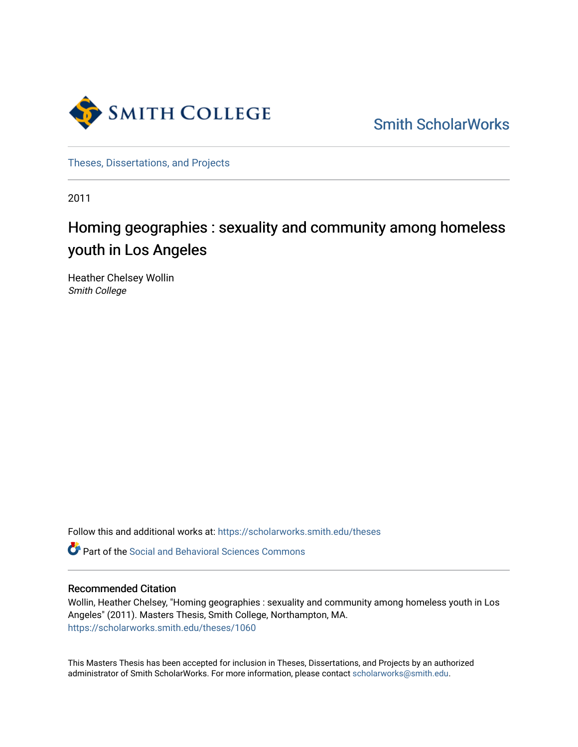

[Smith ScholarWorks](https://scholarworks.smith.edu/) 

[Theses, Dissertations, and Projects](https://scholarworks.smith.edu/theses) 

2011

# Homing geographies : sexuality and community among homeless youth in Los Angeles

Heather Chelsey Wollin Smith College

Follow this and additional works at: [https://scholarworks.smith.edu/theses](https://scholarworks.smith.edu/theses?utm_source=scholarworks.smith.edu%2Ftheses%2F1060&utm_medium=PDF&utm_campaign=PDFCoverPages) 

Part of the [Social and Behavioral Sciences Commons](http://network.bepress.com/hgg/discipline/316?utm_source=scholarworks.smith.edu%2Ftheses%2F1060&utm_medium=PDF&utm_campaign=PDFCoverPages) 

# Recommended Citation

Wollin, Heather Chelsey, "Homing geographies : sexuality and community among homeless youth in Los Angeles" (2011). Masters Thesis, Smith College, Northampton, MA. [https://scholarworks.smith.edu/theses/1060](https://scholarworks.smith.edu/theses/1060?utm_source=scholarworks.smith.edu%2Ftheses%2F1060&utm_medium=PDF&utm_campaign=PDFCoverPages)

This Masters Thesis has been accepted for inclusion in Theses, Dissertations, and Projects by an authorized administrator of Smith ScholarWorks. For more information, please contact [scholarworks@smith.edu](mailto:scholarworks@smith.edu).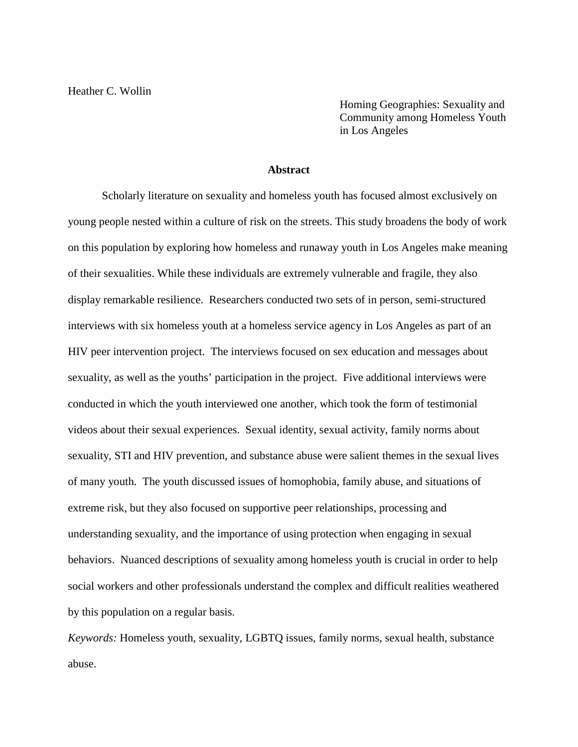Homing Geographies: Sexuality and Community among Homeless Youth in Los Angeles

#### **Abstract**

Scholarly literature on sexuality and homeless youth has focused almost exclusively on young people nested within a culture of risk on the streets. This study broadens the body of work on this population by exploring how homeless and runaway youth in Los Angeles make meaning of their sexualities. While these individuals are extremely vulnerable and fragile, they also display remarkable resilience. Researchers conducted two sets of in person, semi-structured interviews with six homeless youth at a homeless service agency in Los Angeles as part of an HIV peer intervention project. The interviews focused on sex education and messages about sexuality, as well as the youths' participation in the project. Five additional interviews were conducted in which the youth interviewed one another, which took the form of testimonial videos about their sexual experiences. Sexual identity, sexual activity, family norms about sexuality, STI and HIV prevention, and substance abuse were salient themes in the sexual lives of many youth. The youth discussed issues of homophobia, family abuse, and situations of extreme risk, but they also focused on supportive peer relationships, processing and understanding sexuality, and the importance of using protection when engaging in sexual behaviors. Nuanced descriptions of sexuality among homeless youth is crucial in order to help social workers and other professionals understand the complex and difficult realities weathered by this population on a regular basis.

*Keywords:* Homeless youth, sexuality, LGBTQ issues, family norms, sexual health, substance abuse.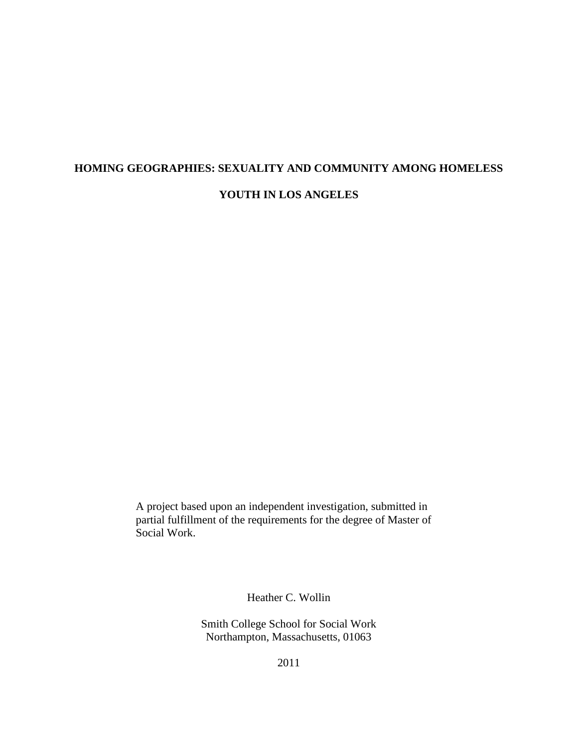# **HOMING GEOGRAPHIES: SEXUALITY AND COMMUNITY AMONG HOMELESS YOUTH IN LOS ANGELES**

A project based upon an independent investigation, submitted in partial fulfillment of the requirements for the degree of Master of Social Work.

Heather C. Wollin

Smith College School for Social Work Northampton, Massachusetts, 01063

2011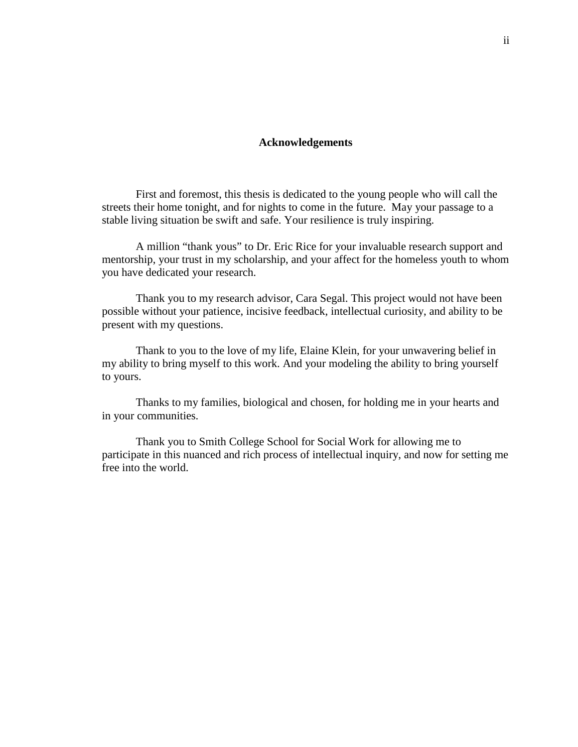### **Acknowledgements**

First and foremost, this thesis is dedicated to the young people who will call the streets their home tonight, and for nights to come in the future. May your passage to a stable living situation be swift and safe. Your resilience is truly inspiring.

A million "thank yous" to Dr. Eric Rice for your invaluable research support and mentorship, your trust in my scholarship, and your affect for the homeless youth to whom you have dedicated your research.

Thank you to my research advisor, Cara Segal. This project would not have been possible without your patience, incisive feedback, intellectual curiosity, and ability to be present with my questions.

Thank to you to the love of my life, Elaine Klein, for your unwavering belief in my ability to bring myself to this work. And your modeling the ability to bring yourself to yours.

Thanks to my families, biological and chosen, for holding me in your hearts and in your communities.

Thank you to Smith College School for Social Work for allowing me to participate in this nuanced and rich process of intellectual inquiry, and now for setting me free into the world.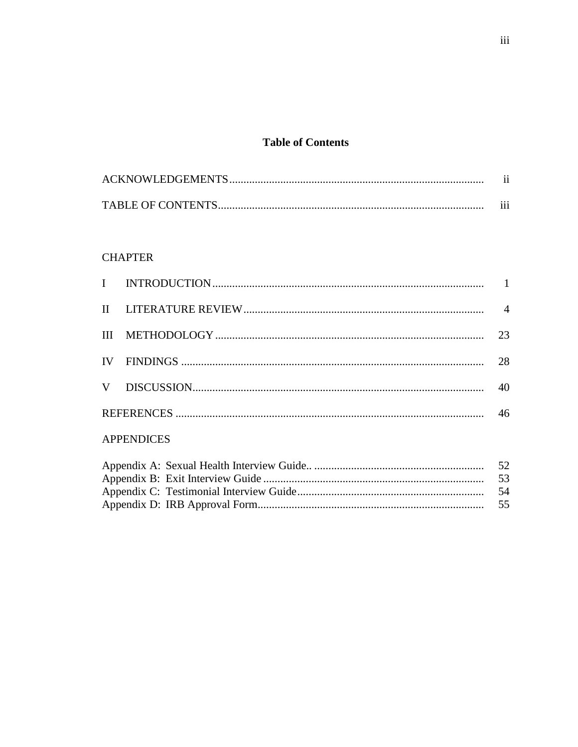# **Table of Contents**

| $\cdot$ . |
|-----------|
| $\cdots$  |

# **CHAPTER**

|  | 23 |
|--|----|
|  | 28 |
|  | 40 |
|  |    |

# **APPENDICES**

|  | - 52 |
|--|------|
|  |      |
|  |      |
|  |      |
|  |      |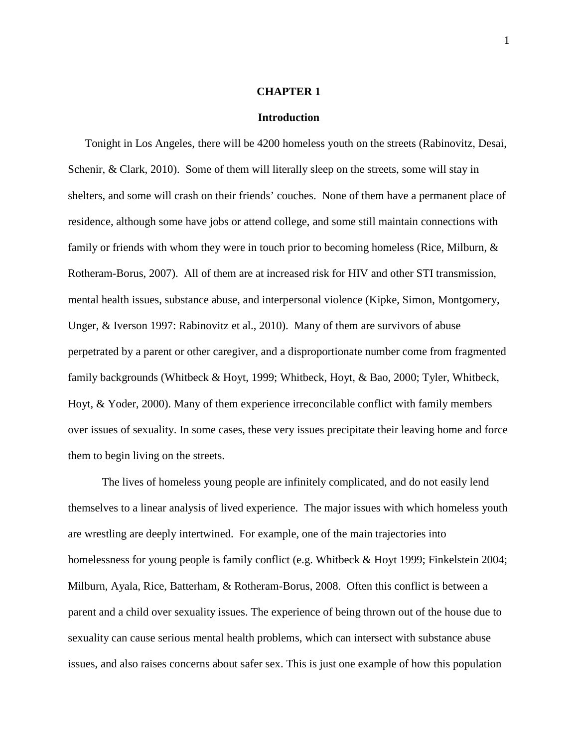#### **CHAPTER 1**

#### **Introduction**

Tonight in Los Angeles, there will be 4200 homeless youth on the streets (Rabinovitz, Desai, Schenir, & Clark, 2010). Some of them will literally sleep on the streets, some will stay in shelters, and some will crash on their friends' couches. None of them have a permanent place of residence, although some have jobs or attend college, and some still maintain connections with family or friends with whom they were in touch prior to becoming homeless (Rice, Milburn, & Rotheram-Borus, 2007). All of them are at increased risk for HIV and other STI transmission, mental health issues, substance abuse, and interpersonal violence (Kipke, Simon, Montgomery, Unger, & Iverson 1997: Rabinovitz et al., 2010). Many of them are survivors of abuse perpetrated by a parent or other caregiver, and a disproportionate number come from fragmented family backgrounds (Whitbeck & Hoyt, 1999; Whitbeck, Hoyt, & Bao, 2000; Tyler, Whitbeck, Hoyt, & Yoder, 2000). Many of them experience irreconcilable conflict with family members over issues of sexuality. In some cases, these very issues precipitate their leaving home and force them to begin living on the streets.

The lives of homeless young people are infinitely complicated, and do not easily lend themselves to a linear analysis of lived experience. The major issues with which homeless youth are wrestling are deeply intertwined. For example, one of the main trajectories into homelessness for young people is family conflict (e.g. Whitbeck & Hoyt 1999; Finkelstein 2004; Milburn, Ayala, Rice, Batterham, & Rotheram-Borus, 2008. Often this conflict is between a parent and a child over sexuality issues. The experience of being thrown out of the house due to sexuality can cause serious mental health problems, which can intersect with substance abuse issues, and also raises concerns about safer sex. This is just one example of how this population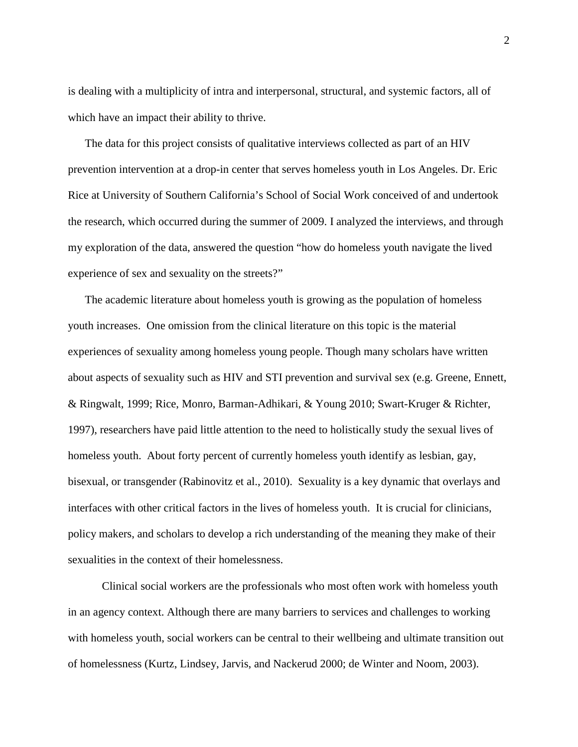is dealing with a multiplicity of intra and interpersonal, structural, and systemic factors, all of which have an impact their ability to thrive.

The data for this project consists of qualitative interviews collected as part of an HIV prevention intervention at a drop-in center that serves homeless youth in Los Angeles. Dr. Eric Rice at University of Southern California's School of Social Work conceived of and undertook the research, which occurred during the summer of 2009. I analyzed the interviews, and through my exploration of the data, answered the question "how do homeless youth navigate the lived experience of sex and sexuality on the streets?"

The academic literature about homeless youth is growing as the population of homeless youth increases. One omission from the clinical literature on this topic is the material experiences of sexuality among homeless young people. Though many scholars have written about aspects of sexuality such as HIV and STI prevention and survival sex (e.g. Greene, Ennett, & Ringwalt, 1999; Rice, Monro, Barman-Adhikari, & Young 2010; Swart-Kruger & Richter, 1997), researchers have paid little attention to the need to holistically study the sexual lives of homeless youth. About forty percent of currently homeless youth identify as lesbian, gay, bisexual, or transgender (Rabinovitz et al., 2010). Sexuality is a key dynamic that overlays and interfaces with other critical factors in the lives of homeless youth. It is crucial for clinicians, policy makers, and scholars to develop a rich understanding of the meaning they make of their sexualities in the context of their homelessness.

Clinical social workers are the professionals who most often work with homeless youth in an agency context. Although there are many barriers to services and challenges to working with homeless youth, social workers can be central to their wellbeing and ultimate transition out of homelessness (Kurtz, Lindsey, Jarvis, and Nackerud 2000; de Winter and Noom, 2003).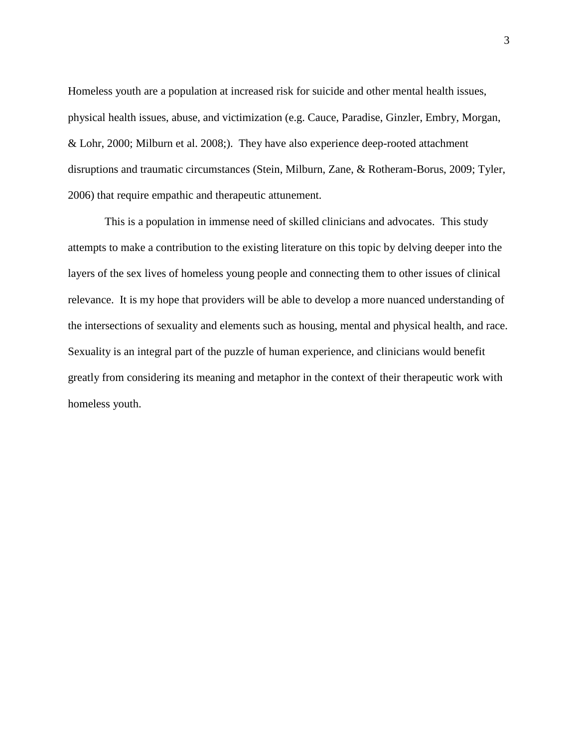Homeless youth are a population at increased risk for suicide and other mental health issues, physical health issues, abuse, and victimization (e.g. Cauce, Paradise, Ginzler, Embry, Morgan, & Lohr, 2000; Milburn et al. 2008;). They have also experience deep-rooted attachment disruptions and traumatic circumstances (Stein, Milburn, Zane, & Rotheram-Borus, 2009; Tyler, 2006) that require empathic and therapeutic attunement.

This is a population in immense need of skilled clinicians and advocates. This study attempts to make a contribution to the existing literature on this topic by delving deeper into the layers of the sex lives of homeless young people and connecting them to other issues of clinical relevance. It is my hope that providers will be able to develop a more nuanced understanding of the intersections of sexuality and elements such as housing, mental and physical health, and race. Sexuality is an integral part of the puzzle of human experience, and clinicians would benefit greatly from considering its meaning and metaphor in the context of their therapeutic work with homeless youth.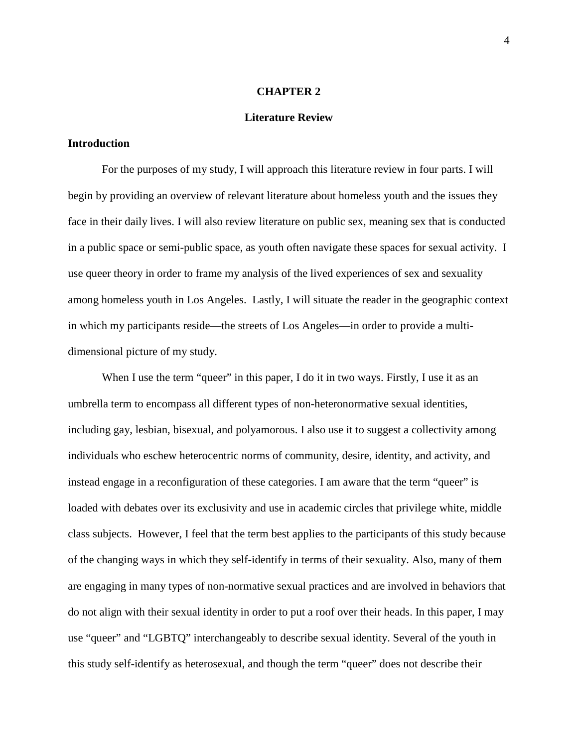#### **CHAPTER 2**

#### **Literature Review**

# **Introduction**

For the purposes of my study, I will approach this literature review in four parts. I will begin by providing an overview of relevant literature about homeless youth and the issues they face in their daily lives. I will also review literature on public sex, meaning sex that is conducted in a public space or semi-public space, as youth often navigate these spaces for sexual activity. I use queer theory in order to frame my analysis of the lived experiences of sex and sexuality among homeless youth in Los Angeles. Lastly, I will situate the reader in the geographic context in which my participants reside—the streets of Los Angeles—in order to provide a multidimensional picture of my study.

When I use the term "queer" in this paper, I do it in two ways. Firstly, I use it as an umbrella term to encompass all different types of non-heteronormative sexual identities, including gay, lesbian, bisexual, and polyamorous. I also use it to suggest a collectivity among individuals who eschew heterocentric norms of community, desire, identity, and activity, and instead engage in a reconfiguration of these categories. I am aware that the term "queer" is loaded with debates over its exclusivity and use in academic circles that privilege white, middle class subjects. However, I feel that the term best applies to the participants of this study because of the changing ways in which they self-identify in terms of their sexuality. Also, many of them are engaging in many types of non-normative sexual practices and are involved in behaviors that do not align with their sexual identity in order to put a roof over their heads. In this paper, I may use "queer" and "LGBTQ" interchangeably to describe sexual identity. Several of the youth in this study self-identify as heterosexual, and though the term "queer" does not describe their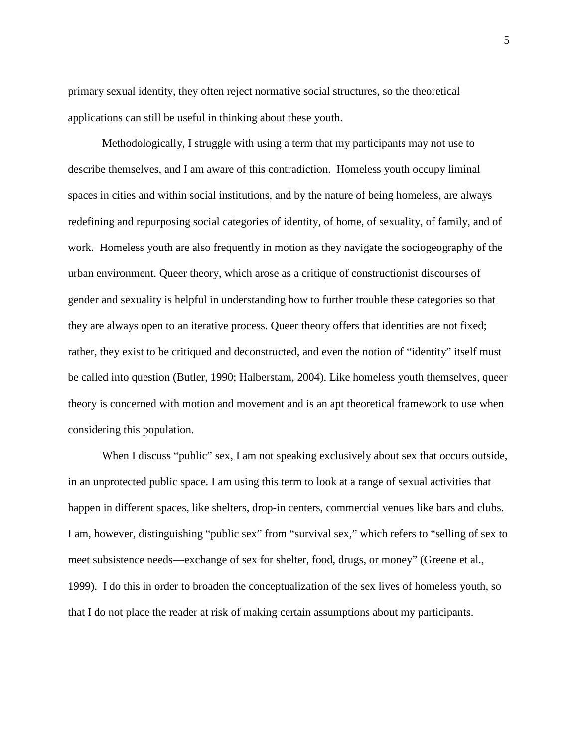primary sexual identity, they often reject normative social structures, so the theoretical applications can still be useful in thinking about these youth.

Methodologically, I struggle with using a term that my participants may not use to describe themselves, and I am aware of this contradiction. Homeless youth occupy liminal spaces in cities and within social institutions, and by the nature of being homeless, are always redefining and repurposing social categories of identity, of home, of sexuality, of family, and of work. Homeless youth are also frequently in motion as they navigate the sociogeography of the urban environment. Queer theory, which arose as a critique of constructionist discourses of gender and sexuality is helpful in understanding how to further trouble these categories so that they are always open to an iterative process. Queer theory offers that identities are not fixed; rather, they exist to be critiqued and deconstructed, and even the notion of "identity" itself must be called into question (Butler, 1990; Halberstam, 2004). Like homeless youth themselves, queer theory is concerned with motion and movement and is an apt theoretical framework to use when considering this population.

When I discuss "public" sex, I am not speaking exclusively about sex that occurs outside, in an unprotected public space. I am using this term to look at a range of sexual activities that happen in different spaces, like shelters, drop-in centers, commercial venues like bars and clubs. I am, however, distinguishing "public sex" from "survival sex," which refers to "selling of sex to meet subsistence needs—exchange of sex for shelter, food, drugs, or money" (Greene et al., 1999). I do this in order to broaden the conceptualization of the sex lives of homeless youth, so that I do not place the reader at risk of making certain assumptions about my participants.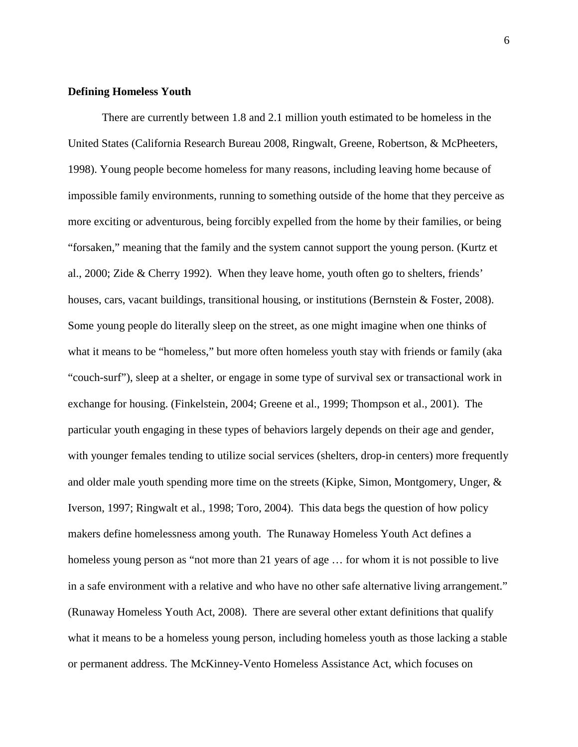### **Defining Homeless Youth**

There are currently between 1.8 and 2.1 million youth estimated to be homeless in the United States (California Research Bureau 2008, Ringwalt, Greene, Robertson, & McPheeters, 1998). Young people become homeless for many reasons, including leaving home because of impossible family environments, running to something outside of the home that they perceive as more exciting or adventurous, being forcibly expelled from the home by their families, or being "forsaken," meaning that the family and the system cannot support the young person. (Kurtz et al., 2000; Zide & Cherry 1992). When they leave home, youth often go to shelters, friends' houses, cars, vacant buildings, transitional housing, or institutions (Bernstein & Foster, 2008). Some young people do literally sleep on the street, as one might imagine when one thinks of what it means to be "homeless," but more often homeless youth stay with friends or family (aka "couch-surf"), sleep at a shelter, or engage in some type of survival sex or transactional work in exchange for housing. (Finkelstein, 2004; Greene et al., 1999; Thompson et al., 2001). The particular youth engaging in these types of behaviors largely depends on their age and gender, with younger females tending to utilize social services (shelters, drop-in centers) more frequently and older male youth spending more time on the streets (Kipke, Simon, Montgomery, Unger, & Iverson, 1997; Ringwalt et al., 1998; Toro, 2004). This data begs the question of how policy makers define homelessness among youth. The Runaway Homeless Youth Act defines a homeless young person as "not more than 21 years of age ... for whom it is not possible to live in a safe environment with a relative and who have no other safe alternative living arrangement." (Runaway Homeless Youth Act, 2008). There are several other extant definitions that qualify what it means to be a homeless young person, including homeless youth as those lacking a stable or permanent address. The McKinney-Vento Homeless Assistance Act, which focuses on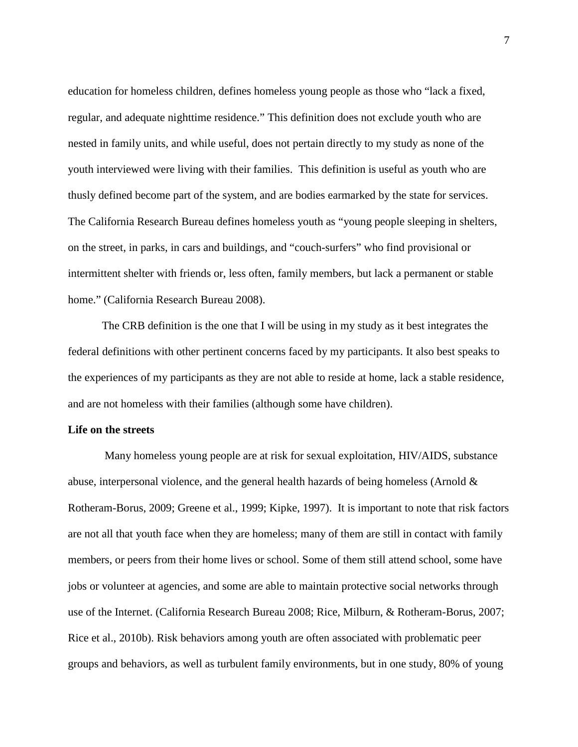education for homeless children, defines homeless young people as those who "lack a fixed, regular, and adequate nighttime residence." This definition does not exclude youth who are nested in family units, and while useful, does not pertain directly to my study as none of the youth interviewed were living with their families. This definition is useful as youth who are thusly defined become part of the system, and are bodies earmarked by the state for services. The California Research Bureau defines homeless youth as "young people sleeping in shelters, on the street, in parks, in cars and buildings, and "couch-surfers" who find provisional or intermittent shelter with friends or, less often, family members, but lack a permanent or stable home." (California Research Bureau 2008).

The CRB definition is the one that I will be using in my study as it best integrates the federal definitions with other pertinent concerns faced by my participants. It also best speaks to the experiences of my participants as they are not able to reside at home, lack a stable residence, and are not homeless with their families (although some have children).

### **Life on the streets**

Many homeless young people are at risk for sexual exploitation, HIV/AIDS, substance abuse, interpersonal violence, and the general health hazards of being homeless (Arnold & Rotheram-Borus, 2009; Greene et al., 1999; Kipke, 1997). It is important to note that risk factors are not all that youth face when they are homeless; many of them are still in contact with family members, or peers from their home lives or school. Some of them still attend school, some have jobs or volunteer at agencies, and some are able to maintain protective social networks through use of the Internet. (California Research Bureau 2008; Rice, Milburn, & Rotheram-Borus, 2007; Rice et al., 2010b). Risk behaviors among youth are often associated with problematic peer groups and behaviors, as well as turbulent family environments, but in one study, 80% of young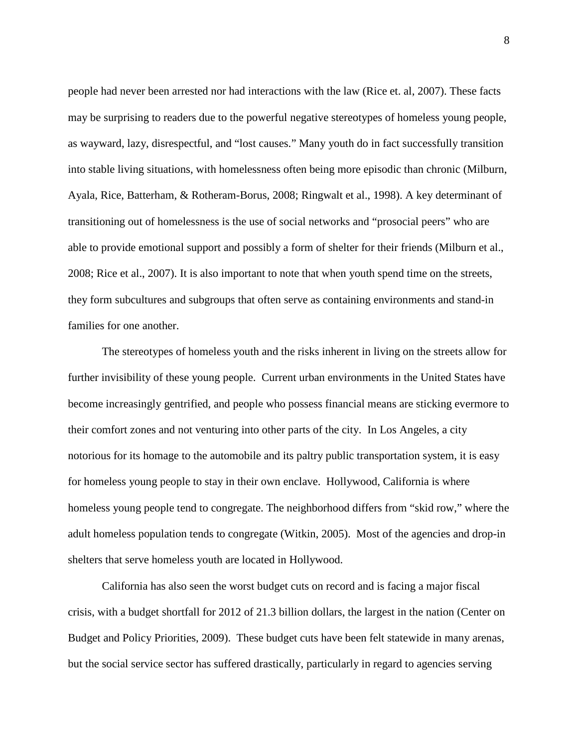people had never been arrested nor had interactions with the law (Rice et. al, 2007). These facts may be surprising to readers due to the powerful negative stereotypes of homeless young people, as wayward, lazy, disrespectful, and "lost causes." Many youth do in fact successfully transition into stable living situations, with homelessness often being more episodic than chronic (Milburn, Ayala, Rice, Batterham, & Rotheram-Borus, 2008; Ringwalt et al., 1998). A key determinant of transitioning out of homelessness is the use of social networks and "prosocial peers" who are able to provide emotional support and possibly a form of shelter for their friends (Milburn et al., 2008; Rice et al., 2007). It is also important to note that when youth spend time on the streets, they form subcultures and subgroups that often serve as containing environments and stand-in families for one another.

The stereotypes of homeless youth and the risks inherent in living on the streets allow for further invisibility of these young people. Current urban environments in the United States have become increasingly gentrified, and people who possess financial means are sticking evermore to their comfort zones and not venturing into other parts of the city. In Los Angeles, a city notorious for its homage to the automobile and its paltry public transportation system, it is easy for homeless young people to stay in their own enclave. Hollywood, California is where homeless young people tend to congregate. The neighborhood differs from "skid row," where the adult homeless population tends to congregate (Witkin, 2005). Most of the agencies and drop-in shelters that serve homeless youth are located in Hollywood.

California has also seen the worst budget cuts on record and is facing a major fiscal crisis, with a budget shortfall for 2012 of 21.3 billion dollars, the largest in the nation (Center on Budget and Policy Priorities, 2009). These budget cuts have been felt statewide in many arenas, but the social service sector has suffered drastically, particularly in regard to agencies serving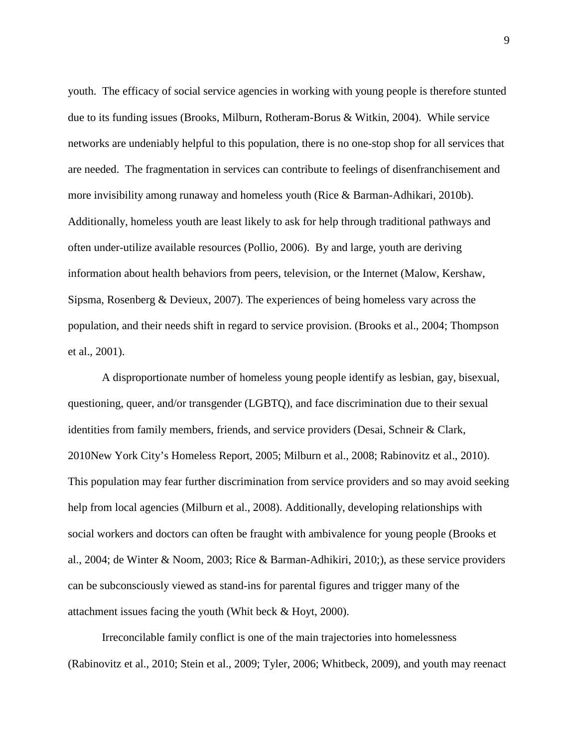youth. The efficacy of social service agencies in working with young people is therefore stunted due to its funding issues (Brooks, Milburn, Rotheram-Borus & Witkin, 2004). While service networks are undeniably helpful to this population, there is no one-stop shop for all services that are needed. The fragmentation in services can contribute to feelings of disenfranchisement and more invisibility among runaway and homeless youth (Rice & Barman-Adhikari, 2010b). Additionally, homeless youth are least likely to ask for help through traditional pathways and often under-utilize available resources (Pollio, 2006). By and large, youth are deriving information about health behaviors from peers, television, or the Internet (Malow, Kershaw, Sipsma, Rosenberg & Devieux, 2007). The experiences of being homeless vary across the population, and their needs shift in regard to service provision. (Brooks et al., 2004; Thompson et al., 2001).

A disproportionate number of homeless young people identify as lesbian, gay, bisexual, questioning, queer, and/or transgender (LGBTQ), and face discrimination due to their sexual identities from family members, friends, and service providers (Desai, Schneir & Clark, 2010New York City's Homeless Report, 2005; Milburn et al., 2008; Rabinovitz et al., 2010). This population may fear further discrimination from service providers and so may avoid seeking help from local agencies (Milburn et al., 2008). Additionally, developing relationships with social workers and doctors can often be fraught with ambivalence for young people (Brooks et al., 2004; de Winter & Noom, 2003; Rice & Barman-Adhikiri, 2010;), as these service providers can be subconsciously viewed as stand-ins for parental figures and trigger many of the attachment issues facing the youth (Whit beck & Hoyt, 2000).

Irreconcilable family conflict is one of the main trajectories into homelessness (Rabinovitz et al., 2010; Stein et al., 2009; Tyler, 2006; Whitbeck, 2009), and youth may reenact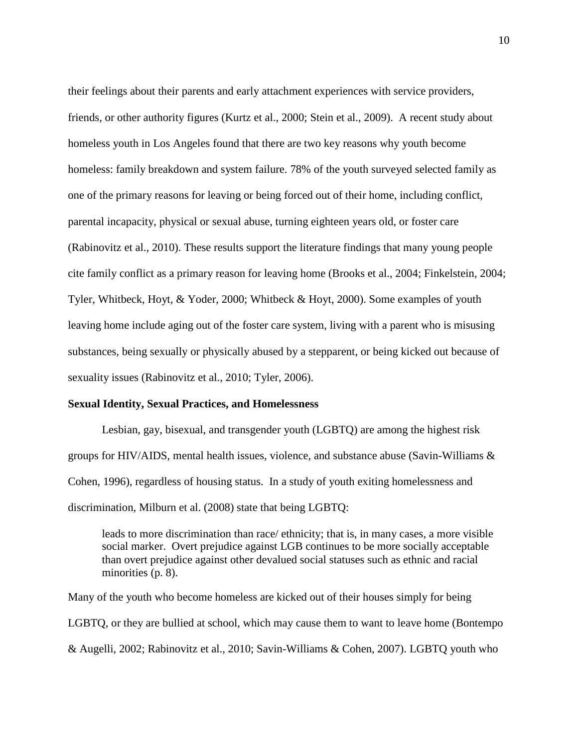their feelings about their parents and early attachment experiences with service providers, friends, or other authority figures (Kurtz et al., 2000; Stein et al., 2009). A recent study about homeless youth in Los Angeles found that there are two key reasons why youth become homeless: family breakdown and system failure. 78% of the youth surveyed selected family as one of the primary reasons for leaving or being forced out of their home, including conflict, parental incapacity, physical or sexual abuse, turning eighteen years old, or foster care (Rabinovitz et al., 2010). These results support the literature findings that many young people cite family conflict as a primary reason for leaving home (Brooks et al., 2004; Finkelstein, 2004; Tyler, Whitbeck, Hoyt, & Yoder, 2000; Whitbeck & Hoyt, 2000). Some examples of youth leaving home include aging out of the foster care system, living with a parent who is misusing substances, being sexually or physically abused by a stepparent, or being kicked out because of sexuality issues (Rabinovitz et al., 2010; Tyler, 2006).

### **Sexual Identity, Sexual Practices, and Homelessness**

Lesbian, gay, bisexual, and transgender youth (LGBTQ) are among the highest risk groups for HIV/AIDS, mental health issues, violence, and substance abuse (Savin-Williams  $\&$ Cohen, 1996), regardless of housing status. In a study of youth exiting homelessness and discrimination, Milburn et al. (2008) state that being LGBTQ:

leads to more discrimination than race/ ethnicity; that is, in many cases, a more visible social marker. Overt prejudice against LGB continues to be more socially acceptable than overt prejudice against other devalued social statuses such as ethnic and racial minorities (p. 8).

Many of the youth who become homeless are kicked out of their houses simply for being LGBTQ, or they are bullied at school, which may cause them to want to leave home (Bontempo & Augelli, 2002; Rabinovitz et al., 2010; Savin-Williams & Cohen, 2007). LGBTQ youth who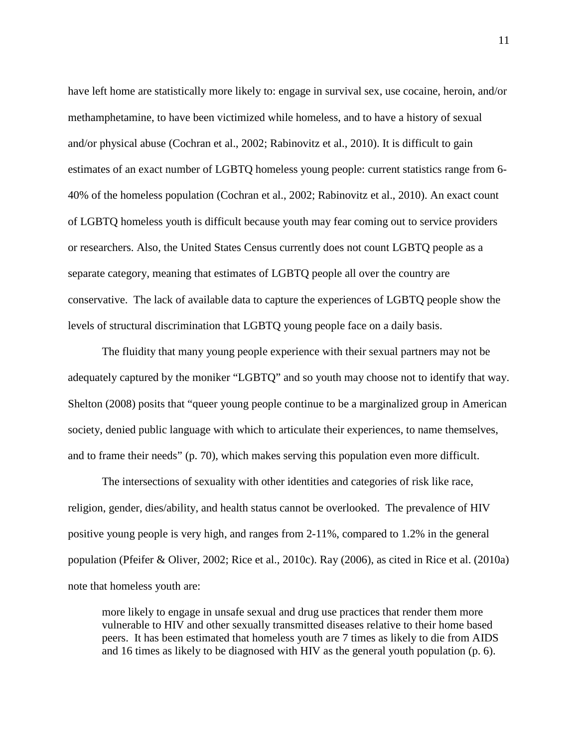have left home are statistically more likely to: engage in survival sex, use cocaine, heroin, and/or methamphetamine, to have been victimized while homeless, and to have a history of sexual and/or physical abuse (Cochran et al., 2002; Rabinovitz et al., 2010). It is difficult to gain estimates of an exact number of LGBTQ homeless young people: current statistics range from 6- 40% of the homeless population (Cochran et al., 2002; Rabinovitz et al., 2010). An exact count of LGBTQ homeless youth is difficult because youth may fear coming out to service providers or researchers. Also, the United States Census currently does not count LGBTQ people as a separate category, meaning that estimates of LGBTQ people all over the country are conservative. The lack of available data to capture the experiences of LGBTQ people show the levels of structural discrimination that LGBTQ young people face on a daily basis.

The fluidity that many young people experience with their sexual partners may not be adequately captured by the moniker "LGBTQ" and so youth may choose not to identify that way. Shelton (2008) posits that "queer young people continue to be a marginalized group in American society, denied public language with which to articulate their experiences, to name themselves, and to frame their needs" (p. 70), which makes serving this population even more difficult.

The intersections of sexuality with other identities and categories of risk like race, religion, gender, dies/ability, and health status cannot be overlooked. The prevalence of HIV positive young people is very high, and ranges from 2-11%, compared to 1.2% in the general population (Pfeifer & Oliver, 2002; Rice et al., 2010c). Ray (2006), as cited in Rice et al. (2010a) note that homeless youth are:

more likely to engage in unsafe sexual and drug use practices that render them more vulnerable to HIV and other sexually transmitted diseases relative to their home based peers. It has been estimated that homeless youth are 7 times as likely to die from AIDS and 16 times as likely to be diagnosed with HIV as the general youth population (p. 6).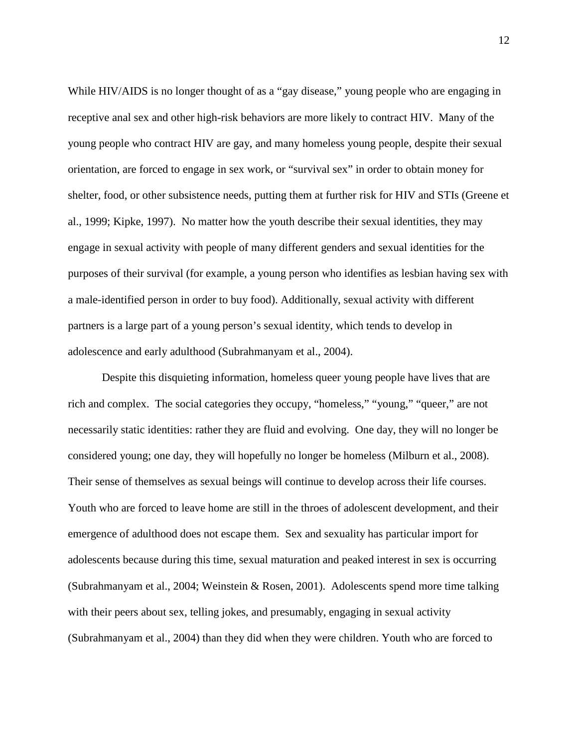While HIV/AIDS is no longer thought of as a "gay disease," young people who are engaging in receptive anal sex and other high-risk behaviors are more likely to contract HIV. Many of the young people who contract HIV are gay, and many homeless young people, despite their sexual orientation, are forced to engage in sex work, or "survival sex" in order to obtain money for shelter, food, or other subsistence needs, putting them at further risk for HIV and STIs (Greene et al., 1999; Kipke, 1997). No matter how the youth describe their sexual identities, they may engage in sexual activity with people of many different genders and sexual identities for the purposes of their survival (for example, a young person who identifies as lesbian having sex with a male-identified person in order to buy food). Additionally, sexual activity with different partners is a large part of a young person's sexual identity, which tends to develop in adolescence and early adulthood (Subrahmanyam et al., 2004).

Despite this disquieting information, homeless queer young people have lives that are rich and complex. The social categories they occupy, "homeless," "young," "queer," are not necessarily static identities: rather they are fluid and evolving. One day, they will no longer be considered young; one day, they will hopefully no longer be homeless (Milburn et al., 2008). Their sense of themselves as sexual beings will continue to develop across their life courses. Youth who are forced to leave home are still in the throes of adolescent development, and their emergence of adulthood does not escape them. Sex and sexuality has particular import for adolescents because during this time, sexual maturation and peaked interest in sex is occurring (Subrahmanyam et al., 2004; Weinstein & Rosen, 2001). Adolescents spend more time talking with their peers about sex, telling jokes, and presumably, engaging in sexual activity (Subrahmanyam et al., 2004) than they did when they were children. Youth who are forced to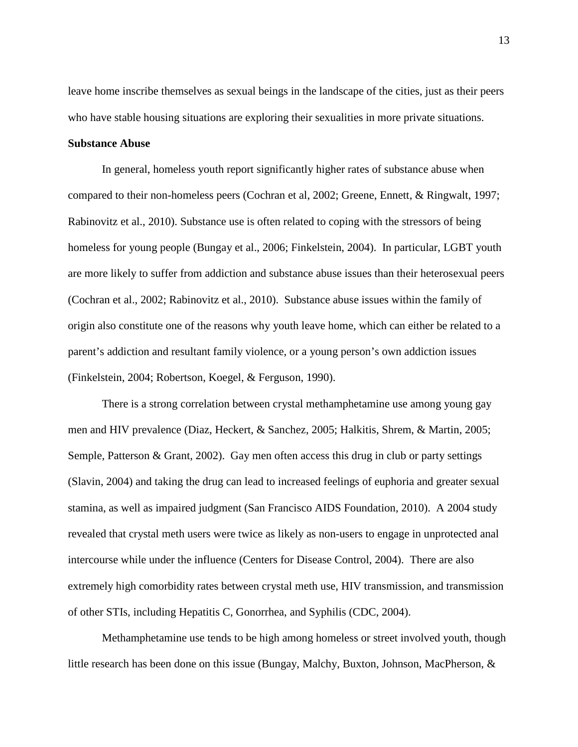leave home inscribe themselves as sexual beings in the landscape of the cities, just as their peers who have stable housing situations are exploring their sexualities in more private situations.

### **Substance Abuse**

In general, homeless youth report significantly higher rates of substance abuse when compared to their non-homeless peers (Cochran et al, 2002; Greene, Ennett, & Ringwalt, 1997; Rabinovitz et al., 2010). Substance use is often related to coping with the stressors of being homeless for young people (Bungay et al., 2006; Finkelstein, 2004). In particular, LGBT youth are more likely to suffer from addiction and substance abuse issues than their heterosexual peers (Cochran et al., 2002; Rabinovitz et al., 2010). Substance abuse issues within the family of origin also constitute one of the reasons why youth leave home, which can either be related to a parent's addiction and resultant family violence, or a young person's own addiction issues (Finkelstein, 2004; Robertson, Koegel, & Ferguson, 1990).

There is a strong correlation between crystal methamphetamine use among young gay men and HIV prevalence (Diaz, Heckert, & Sanchez, 2005; Halkitis, Shrem, & Martin, 2005; Semple, Patterson & Grant, 2002). Gay men often access this drug in club or party settings (Slavin, 2004) and taking the drug can lead to increased feelings of euphoria and greater sexual stamina, as well as impaired judgment (San Francisco AIDS Foundation, 2010). A 2004 study revealed that crystal meth users were twice as likely as non-users to engage in unprotected anal intercourse while under the influence (Centers for Disease Control, 2004). There are also extremely high comorbidity rates between crystal meth use, HIV transmission, and transmission of other STIs, including Hepatitis C, Gonorrhea, and Syphilis (CDC, 2004).

Methamphetamine use tends to be high among homeless or street involved youth, though little research has been done on this issue (Bungay, Malchy, Buxton, Johnson, MacPherson, &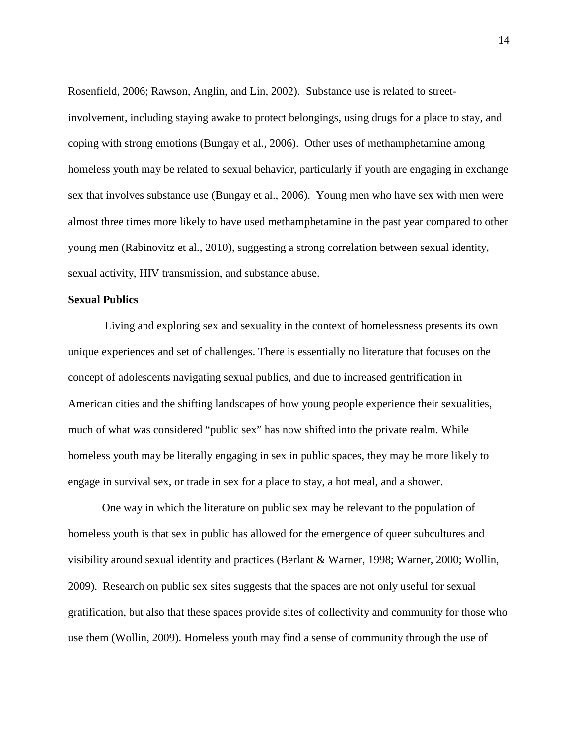Rosenfield, 2006; Rawson, Anglin, and Lin, 2002). Substance use is related to streetinvolvement, including staying awake to protect belongings, using drugs for a place to stay, and coping with strong emotions (Bungay et al., 2006). Other uses of methamphetamine among homeless youth may be related to sexual behavior, particularly if youth are engaging in exchange sex that involves substance use (Bungay et al., 2006). Young men who have sex with men were almost three times more likely to have used methamphetamine in the past year compared to other young men (Rabinovitz et al., 2010), suggesting a strong correlation between sexual identity, sexual activity, HIV transmission, and substance abuse.

### **Sexual Publics**

Living and exploring sex and sexuality in the context of homelessness presents its own unique experiences and set of challenges. There is essentially no literature that focuses on the concept of adolescents navigating sexual publics, and due to increased gentrification in American cities and the shifting landscapes of how young people experience their sexualities, much of what was considered "public sex" has now shifted into the private realm. While homeless youth may be literally engaging in sex in public spaces, they may be more likely to engage in survival sex, or trade in sex for a place to stay, a hot meal, and a shower.

One way in which the literature on public sex may be relevant to the population of homeless youth is that sex in public has allowed for the emergence of queer subcultures and visibility around sexual identity and practices (Berlant & Warner, 1998; Warner, 2000; Wollin, 2009). Research on public sex sites suggests that the spaces are not only useful for sexual gratification, but also that these spaces provide sites of collectivity and community for those who use them (Wollin, 2009). Homeless youth may find a sense of community through the use of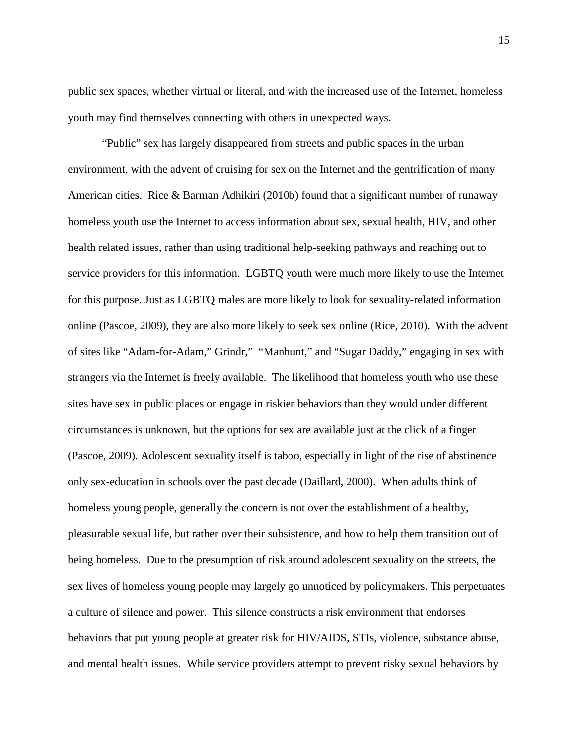public sex spaces, whether virtual or literal, and with the increased use of the Internet, homeless youth may find themselves connecting with others in unexpected ways.

"Public" sex has largely disappeared from streets and public spaces in the urban environment, with the advent of cruising for sex on the Internet and the gentrification of many American cities. Rice & Barman Adhikiri (2010b) found that a significant number of runaway homeless youth use the Internet to access information about sex, sexual health, HIV, and other health related issues, rather than using traditional help-seeking pathways and reaching out to service providers for this information. LGBTQ youth were much more likely to use the Internet for this purpose. Just as LGBTQ males are more likely to look for sexuality-related information online (Pascoe, 2009), they are also more likely to seek sex online (Rice, 2010). With the advent of sites like "Adam-for-Adam," Grindr," "Manhunt," and "Sugar Daddy," engaging in sex with strangers via the Internet is freely available. The likelihood that homeless youth who use these sites have sex in public places or engage in riskier behaviors than they would under different circumstances is unknown, but the options for sex are available just at the click of a finger (Pascoe, 2009). Adolescent sexuality itself is taboo, especially in light of the rise of abstinence only sex-education in schools over the past decade (Daillard, 2000). When adults think of homeless young people, generally the concern is not over the establishment of a healthy, pleasurable sexual life, but rather over their subsistence, and how to help them transition out of being homeless. Due to the presumption of risk around adolescent sexuality on the streets, the sex lives of homeless young people may largely go unnoticed by policymakers. This perpetuates a culture of silence and power. This silence constructs a risk environment that endorses behaviors that put young people at greater risk for HIV/AIDS, STIs, violence, substance abuse, and mental health issues. While service providers attempt to prevent risky sexual behaviors by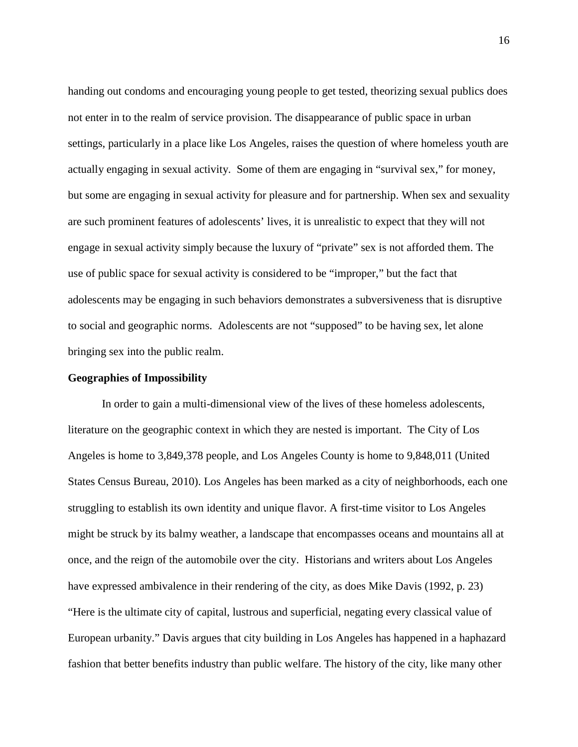handing out condoms and encouraging young people to get tested, theorizing sexual publics does not enter in to the realm of service provision. The disappearance of public space in urban settings, particularly in a place like Los Angeles, raises the question of where homeless youth are actually engaging in sexual activity. Some of them are engaging in "survival sex," for money, but some are engaging in sexual activity for pleasure and for partnership. When sex and sexuality are such prominent features of adolescents' lives, it is unrealistic to expect that they will not engage in sexual activity simply because the luxury of "private" sex is not afforded them. The use of public space for sexual activity is considered to be "improper," but the fact that adolescents may be engaging in such behaviors demonstrates a subversiveness that is disruptive to social and geographic norms. Adolescents are not "supposed" to be having sex, let alone bringing sex into the public realm.

### **Geographies of Impossibility**

In order to gain a multi-dimensional view of the lives of these homeless adolescents, literature on the geographic context in which they are nested is important. The City of Los Angeles is home to 3,849,378 people, and Los Angeles County is home to 9,848,011 (United States Census Bureau, 2010). Los Angeles has been marked as a city of neighborhoods, each one struggling to establish its own identity and unique flavor. A first-time visitor to Los Angeles might be struck by its balmy weather, a landscape that encompasses oceans and mountains all at once, and the reign of the automobile over the city. Historians and writers about Los Angeles have expressed ambivalence in their rendering of the city, as does Mike Davis (1992, p. 23) "Here is the ultimate city of capital, lustrous and superficial, negating every classical value of European urbanity." Davis argues that city building in Los Angeles has happened in a haphazard fashion that better benefits industry than public welfare. The history of the city, like many other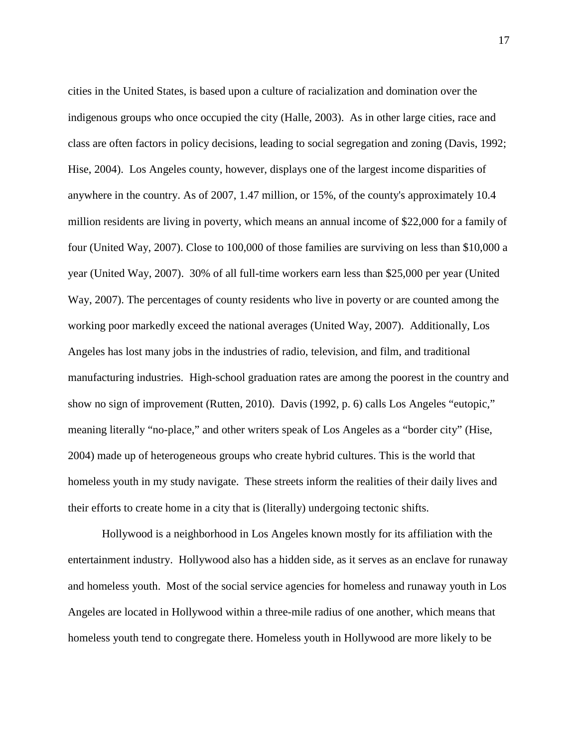cities in the United States, is based upon a culture of racialization and domination over the indigenous groups who once occupied the city (Halle, 2003). As in other large cities, race and class are often factors in policy decisions, leading to social segregation and zoning (Davis, 1992; Hise, 2004). Los Angeles county, however, displays one of the largest income disparities of anywhere in the country. As of 2007, 1.47 million, or 15%, of the county's approximately 10.4 million residents are living in poverty, which means an annual income of \$22,000 for a family of four (United Way, 2007). Close to 100,000 of those families are surviving on less than \$10,000 a year (United Way, 2007). 30% of all full-time workers earn less than \$25,000 per year (United Way, 2007). The percentages of county residents who live in poverty or are counted among the working poor markedly exceed the national averages (United Way, 2007). Additionally, Los Angeles has lost many jobs in the industries of radio, television, and film, and traditional manufacturing industries. High-school graduation rates are among the poorest in the country and show no sign of improvement (Rutten, 2010). Davis (1992, p. 6) calls Los Angeles "eutopic," meaning literally "no-place," and other writers speak of Los Angeles as a "border city" (Hise, 2004) made up of heterogeneous groups who create hybrid cultures. This is the world that homeless youth in my study navigate. These streets inform the realities of their daily lives and their efforts to create home in a city that is (literally) undergoing tectonic shifts.

Hollywood is a neighborhood in Los Angeles known mostly for its affiliation with the entertainment industry. Hollywood also has a hidden side, as it serves as an enclave for runaway and homeless youth. Most of the social service agencies for homeless and runaway youth in Los Angeles are located in Hollywood within a three-mile radius of one another, which means that homeless youth tend to congregate there. Homeless youth in Hollywood are more likely to be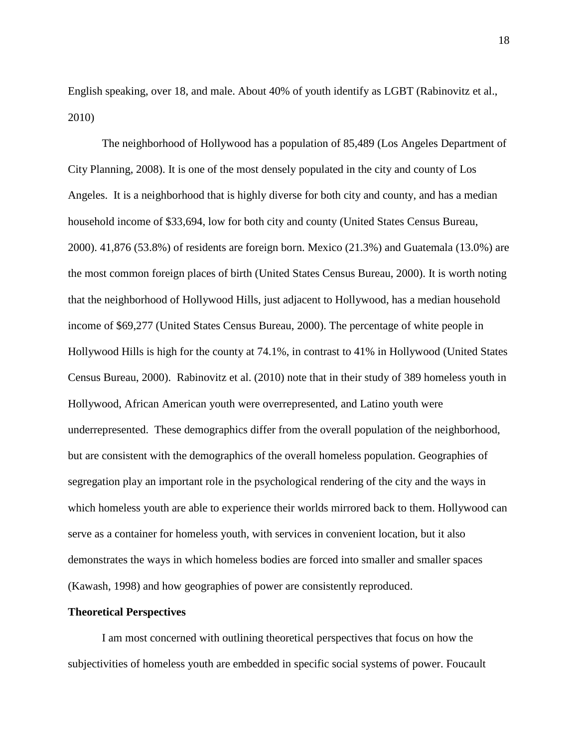English speaking, over 18, and male. About 40% of youth identify as LGBT (Rabinovitz et al., 2010)

The neighborhood of Hollywood has a population of 85,489 (Los Angeles Department of City Planning, 2008). It is one of the most densely populated in the city and county of Los Angeles. It is a neighborhood that is highly diverse for both city and county, and has a median household income of \$33,694, low for both city and county (United States Census Bureau, 2000). 41,876 (53.8%) of residents are foreign born. Mexico (21.3%) and Guatemala (13.0%) are the most common foreign places of birth (United States Census Bureau, 2000). It is worth noting that the neighborhood of Hollywood Hills, just adjacent to Hollywood, has a median household income of \$69,277 (United States Census Bureau, 2000). The percentage of white people in Hollywood Hills is high for the county at 74.1%, in contrast to 41% in Hollywood (United States Census Bureau, 2000). Rabinovitz et al. (2010) note that in their study of 389 homeless youth in Hollywood, African American youth were overrepresented, and Latino youth were underrepresented. These demographics differ from the overall population of the neighborhood, but are consistent with the demographics of the overall homeless population. Geographies of segregation play an important role in the psychological rendering of the city and the ways in which homeless youth are able to experience their worlds mirrored back to them. Hollywood can serve as a container for homeless youth, with services in convenient location, but it also demonstrates the ways in which homeless bodies are forced into smaller and smaller spaces (Kawash, 1998) and how geographies of power are consistently reproduced.

# **Theoretical Perspectives**

I am most concerned with outlining theoretical perspectives that focus on how the subjectivities of homeless youth are embedded in specific social systems of power. Foucault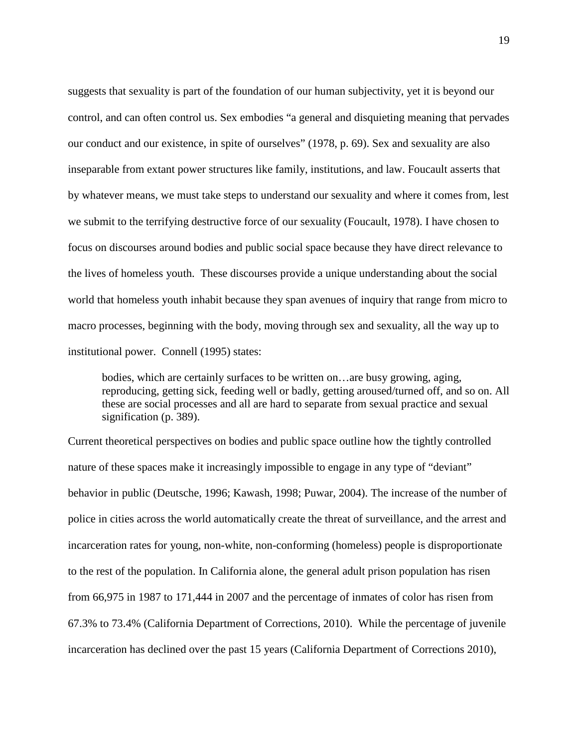suggests that sexuality is part of the foundation of our human subjectivity, yet it is beyond our control, and can often control us. Sex embodies "a general and disquieting meaning that pervades our conduct and our existence, in spite of ourselves" (1978, p. 69). Sex and sexuality are also inseparable from extant power structures like family, institutions, and law. Foucault asserts that by whatever means, we must take steps to understand our sexuality and where it comes from, lest we submit to the terrifying destructive force of our sexuality (Foucault, 1978). I have chosen to focus on discourses around bodies and public social space because they have direct relevance to the lives of homeless youth. These discourses provide a unique understanding about the social world that homeless youth inhabit because they span avenues of inquiry that range from micro to macro processes, beginning with the body, moving through sex and sexuality, all the way up to institutional power. Connell (1995) states:

bodies, which are certainly surfaces to be written on…are busy growing, aging, reproducing, getting sick, feeding well or badly, getting aroused/turned off, and so on. All these are social processes and all are hard to separate from sexual practice and sexual signification (p. 389).

Current theoretical perspectives on bodies and public space outline how the tightly controlled nature of these spaces make it increasingly impossible to engage in any type of "deviant" behavior in public (Deutsche, 1996; Kawash, 1998; Puwar, 2004). The increase of the number of police in cities across the world automatically create the threat of surveillance, and the arrest and incarceration rates for young, non-white, non-conforming (homeless) people is disproportionate to the rest of the population. In California alone, the general adult prison population has risen from 66,975 in 1987 to 171,444 in 2007 and the percentage of inmates of color has risen from 67.3% to 73.4% (California Department of Corrections, 2010). While the percentage of juvenile incarceration has declined over the past 15 years (California Department of Corrections 2010),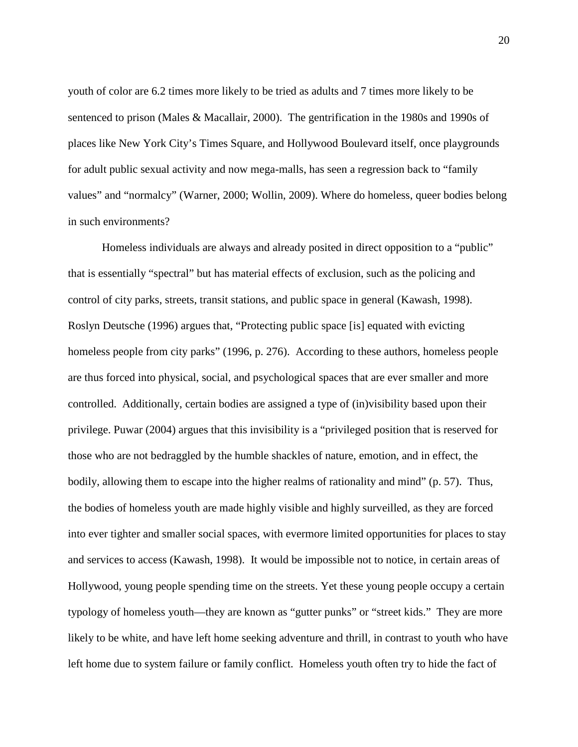youth of color are 6.2 times more likely to be tried as adults and 7 times more likely to be sentenced to prison (Males & Macallair, 2000). The gentrification in the 1980s and 1990s of places like New York City's Times Square, and Hollywood Boulevard itself, once playgrounds for adult public sexual activity and now mega-malls, has seen a regression back to "family values" and "normalcy" (Warner, 2000; Wollin, 2009). Where do homeless, queer bodies belong in such environments?

Homeless individuals are always and already posited in direct opposition to a "public" that is essentially "spectral" but has material effects of exclusion, such as the policing and control of city parks, streets, transit stations, and public space in general (Kawash, 1998). Roslyn Deutsche (1996) argues that, "Protecting public space [is] equated with evicting homeless people from city parks" (1996, p. 276). According to these authors, homeless people are thus forced into physical, social, and psychological spaces that are ever smaller and more controlled. Additionally, certain bodies are assigned a type of (in)visibility based upon their privilege. Puwar (2004) argues that this invisibility is a "privileged position that is reserved for those who are not bedraggled by the humble shackles of nature, emotion, and in effect, the bodily, allowing them to escape into the higher realms of rationality and mind" (p. 57). Thus, the bodies of homeless youth are made highly visible and highly surveilled, as they are forced into ever tighter and smaller social spaces, with evermore limited opportunities for places to stay and services to access (Kawash, 1998). It would be impossible not to notice, in certain areas of Hollywood, young people spending time on the streets. Yet these young people occupy a certain typology of homeless youth—they are known as "gutter punks" or "street kids." They are more likely to be white, and have left home seeking adventure and thrill, in contrast to youth who have left home due to system failure or family conflict. Homeless youth often try to hide the fact of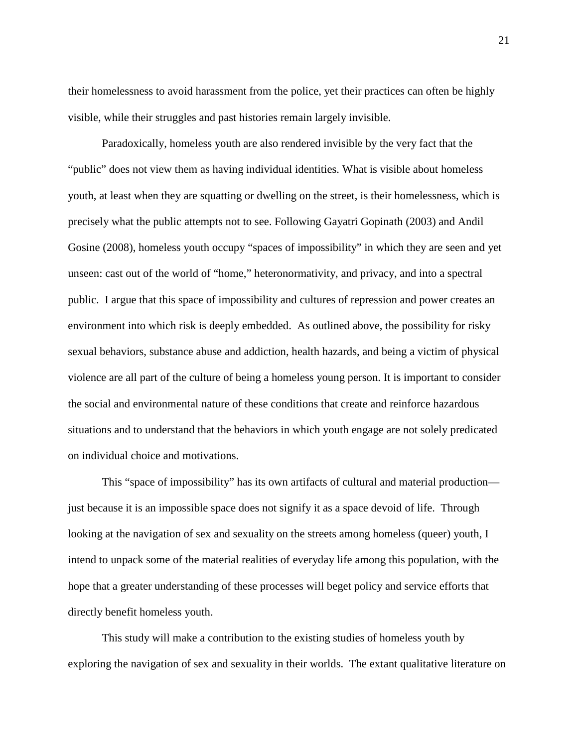their homelessness to avoid harassment from the police, yet their practices can often be highly visible, while their struggles and past histories remain largely invisible.

Paradoxically, homeless youth are also rendered invisible by the very fact that the "public" does not view them as having individual identities. What is visible about homeless youth, at least when they are squatting or dwelling on the street, is their homelessness, which is precisely what the public attempts not to see. Following Gayatri Gopinath (2003) and Andil Gosine (2008), homeless youth occupy "spaces of impossibility" in which they are seen and yet unseen: cast out of the world of "home," heteronormativity, and privacy, and into a spectral public. I argue that this space of impossibility and cultures of repression and power creates an environment into which risk is deeply embedded. As outlined above, the possibility for risky sexual behaviors, substance abuse and addiction, health hazards, and being a victim of physical violence are all part of the culture of being a homeless young person. It is important to consider the social and environmental nature of these conditions that create and reinforce hazardous situations and to understand that the behaviors in which youth engage are not solely predicated on individual choice and motivations.

This "space of impossibility" has its own artifacts of cultural and material production just because it is an impossible space does not signify it as a space devoid of life. Through looking at the navigation of sex and sexuality on the streets among homeless (queer) youth, I intend to unpack some of the material realities of everyday life among this population, with the hope that a greater understanding of these processes will beget policy and service efforts that directly benefit homeless youth.

This study will make a contribution to the existing studies of homeless youth by exploring the navigation of sex and sexuality in their worlds. The extant qualitative literature on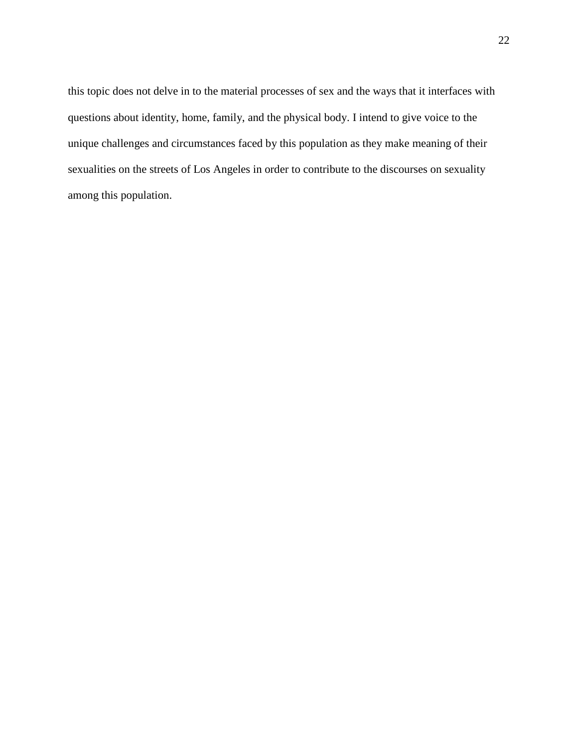this topic does not delve in to the material processes of sex and the ways that it interfaces with questions about identity, home, family, and the physical body. I intend to give voice to the unique challenges and circumstances faced by this population as they make meaning of their sexualities on the streets of Los Angeles in order to contribute to the discourses on sexuality among this population.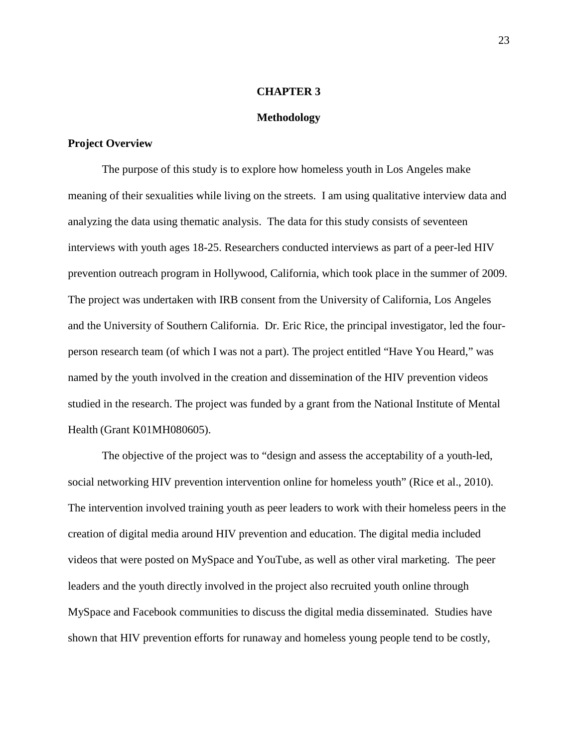#### **CHAPTER 3**

#### **Methodology**

### **Project Overview**

The purpose of this study is to explore how homeless youth in Los Angeles make meaning of their sexualities while living on the streets. I am using qualitative interview data and analyzing the data using thematic analysis. The data for this study consists of seventeen interviews with youth ages 18-25. Researchers conducted interviews as part of a peer-led HIV prevention outreach program in Hollywood, California, which took place in the summer of 2009. The project was undertaken with IRB consent from the University of California, Los Angeles and the University of Southern California. Dr. Eric Rice, the principal investigator, led the fourperson research team (of which I was not a part). The project entitled "Have You Heard," was named by the youth involved in the creation and dissemination of the HIV prevention videos studied in the research. The project was funded by a grant from the National Institute of Mental Health (Grant K01MH080605).

The objective of the project was to "design and assess the acceptability of a youth-led, social networking HIV prevention intervention online for homeless youth" (Rice et al., 2010). The intervention involved training youth as peer leaders to work with their homeless peers in the creation of digital media around HIV prevention and education. The digital media included videos that were posted on MySpace and YouTube, as well as other viral marketing. The peer leaders and the youth directly involved in the project also recruited youth online through MySpace and Facebook communities to discuss the digital media disseminated. Studies have shown that HIV prevention efforts for runaway and homeless young people tend to be costly,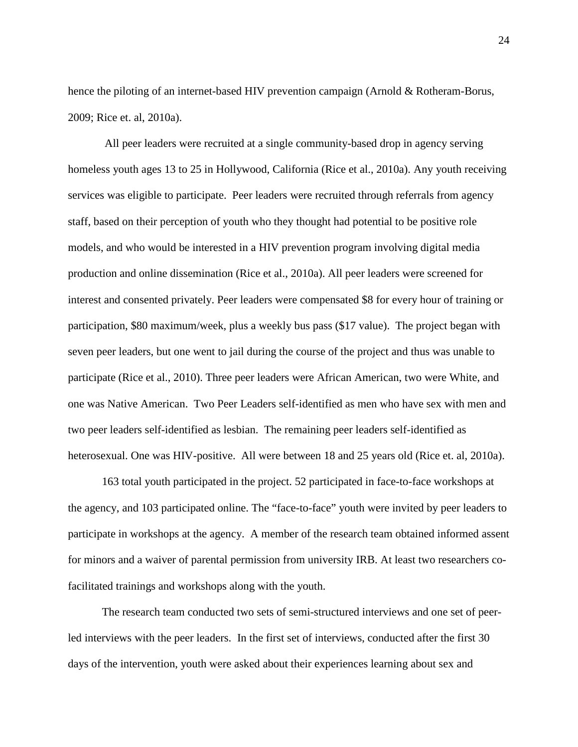hence the piloting of an internet-based HIV prevention campaign (Arnold & Rotheram-Borus, 2009; Rice et. al, 2010a).

All peer leaders were recruited at a single community-based drop in agency serving homeless youth ages 13 to 25 in Hollywood, California (Rice et al., 2010a). Any youth receiving services was eligible to participate. Peer leaders were recruited through referrals from agency staff, based on their perception of youth who they thought had potential to be positive role models, and who would be interested in a HIV prevention program involving digital media production and online dissemination (Rice et al., 2010a). All peer leaders were screened for interest and consented privately. Peer leaders were compensated \$8 for every hour of training or participation, \$80 maximum/week, plus a weekly bus pass (\$17 value). The project began with seven peer leaders, but one went to jail during the course of the project and thus was unable to participate (Rice et al., 2010). Three peer leaders were African American, two were White, and one was Native American. Two Peer Leaders self-identified as men who have sex with men and two peer leaders self-identified as lesbian. The remaining peer leaders self-identified as heterosexual. One was HIV-positive. All were between 18 and 25 years old (Rice et. al, 2010a).

163 total youth participated in the project. 52 participated in face-to-face workshops at the agency, and 103 participated online. The "face-to-face" youth were invited by peer leaders to participate in workshops at the agency. A member of the research team obtained informed assent for minors and a waiver of parental permission from university IRB. At least two researchers cofacilitated trainings and workshops along with the youth.

The research team conducted two sets of semi-structured interviews and one set of peerled interviews with the peer leaders. In the first set of interviews, conducted after the first 30 days of the intervention, youth were asked about their experiences learning about sex and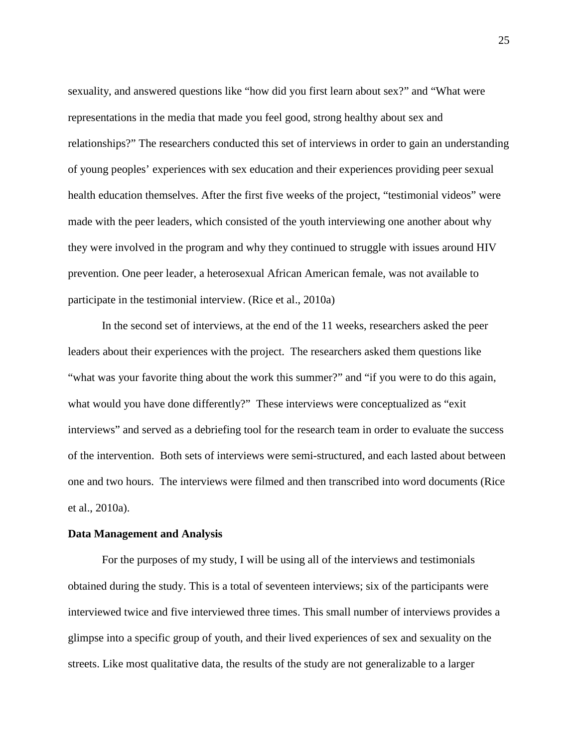sexuality, and answered questions like "how did you first learn about sex?" and "What were representations in the media that made you feel good, strong healthy about sex and relationships?" The researchers conducted this set of interviews in order to gain an understanding of young peoples' experiences with sex education and their experiences providing peer sexual health education themselves. After the first five weeks of the project, "testimonial videos" were made with the peer leaders, which consisted of the youth interviewing one another about why they were involved in the program and why they continued to struggle with issues around HIV prevention. One peer leader, a heterosexual African American female, was not available to participate in the testimonial interview. (Rice et al., 2010a)

In the second set of interviews, at the end of the 11 weeks, researchers asked the peer leaders about their experiences with the project. The researchers asked them questions like "what was your favorite thing about the work this summer?" and "if you were to do this again, what would you have done differently?" These interviews were conceptualized as "exit" interviews" and served as a debriefing tool for the research team in order to evaluate the success of the intervention. Both sets of interviews were semi-structured, and each lasted about between one and two hours. The interviews were filmed and then transcribed into word documents (Rice et al., 2010a).

# **Data Management and Analysis**

For the purposes of my study, I will be using all of the interviews and testimonials obtained during the study. This is a total of seventeen interviews; six of the participants were interviewed twice and five interviewed three times. This small number of interviews provides a glimpse into a specific group of youth, and their lived experiences of sex and sexuality on the streets. Like most qualitative data, the results of the study are not generalizable to a larger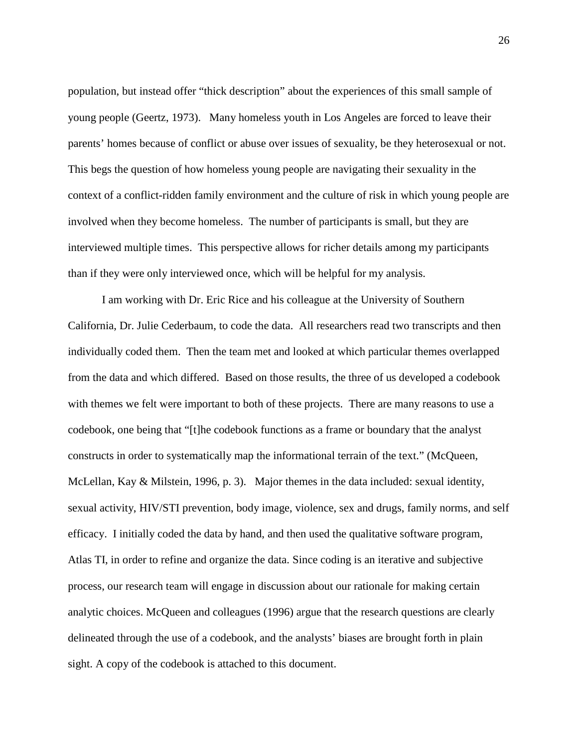population, but instead offer "thick description" about the experiences of this small sample of young people (Geertz, 1973). Many homeless youth in Los Angeles are forced to leave their parents' homes because of conflict or abuse over issues of sexuality, be they heterosexual or not. This begs the question of how homeless young people are navigating their sexuality in the context of a conflict-ridden family environment and the culture of risk in which young people are involved when they become homeless. The number of participants is small, but they are interviewed multiple times. This perspective allows for richer details among my participants than if they were only interviewed once, which will be helpful for my analysis.

I am working with Dr. Eric Rice and his colleague at the University of Southern California, Dr. Julie Cederbaum, to code the data. All researchers read two transcripts and then individually coded them. Then the team met and looked at which particular themes overlapped from the data and which differed. Based on those results, the three of us developed a codebook with themes we felt were important to both of these projects. There are many reasons to use a codebook, one being that "[t]he codebook functions as a frame or boundary that the analyst constructs in order to systematically map the informational terrain of the text." (McQueen, McLellan, Kay & Milstein, 1996, p. 3). Major themes in the data included: sexual identity, sexual activity, HIV/STI prevention, body image, violence, sex and drugs, family norms, and self efficacy. I initially coded the data by hand, and then used the qualitative software program, Atlas TI, in order to refine and organize the data. Since coding is an iterative and subjective process, our research team will engage in discussion about our rationale for making certain analytic choices. McQueen and colleagues (1996) argue that the research questions are clearly delineated through the use of a codebook, and the analysts' biases are brought forth in plain sight. A copy of the codebook is attached to this document.

26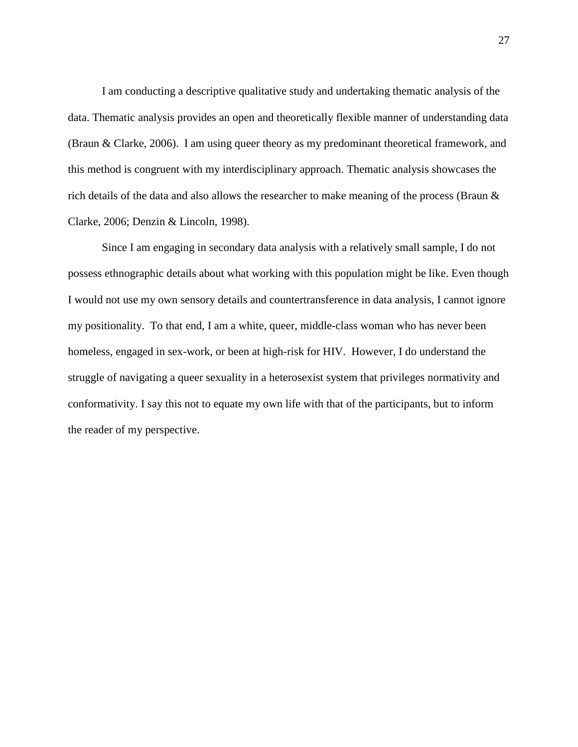I am conducting a descriptive qualitative study and undertaking thematic analysis of the data. Thematic analysis provides an open and theoretically flexible manner of understanding data (Braun & Clarke, 2006). I am using queer theory as my predominant theoretical framework, and this method is congruent with my interdisciplinary approach. Thematic analysis showcases the rich details of the data and also allows the researcher to make meaning of the process (Braun & Clarke, 2006; Denzin & Lincoln, 1998).

Since I am engaging in secondary data analysis with a relatively small sample, I do not possess ethnographic details about what working with this population might be like. Even though I would not use my own sensory details and countertransference in data analysis, I cannot ignore my positionality. To that end, I am a white, queer, middle-class woman who has never been homeless, engaged in sex-work, or been at high-risk for HIV. However, I do understand the struggle of navigating a queer sexuality in a heterosexist system that privileges normativity and conformativity. I say this not to equate my own life with that of the participants, but to inform the reader of my perspective.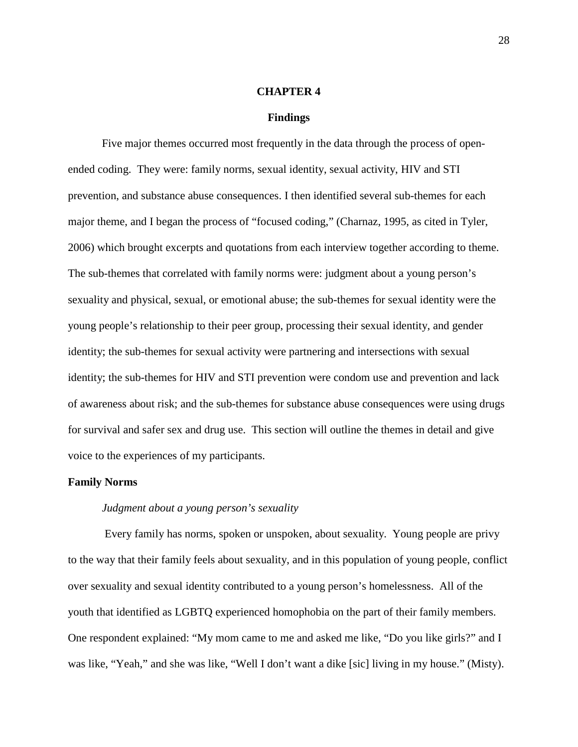#### **CHAPTER 4**

#### **Findings**

Five major themes occurred most frequently in the data through the process of openended coding. They were: family norms, sexual identity, sexual activity, HIV and STI prevention, and substance abuse consequences. I then identified several sub-themes for each major theme, and I began the process of "focused coding," (Charnaz, 1995, as cited in Tyler, 2006) which brought excerpts and quotations from each interview together according to theme. The sub-themes that correlated with family norms were: judgment about a young person's sexuality and physical, sexual, or emotional abuse; the sub-themes for sexual identity were the young people's relationship to their peer group, processing their sexual identity, and gender identity; the sub-themes for sexual activity were partnering and intersections with sexual identity; the sub-themes for HIV and STI prevention were condom use and prevention and lack of awareness about risk; and the sub-themes for substance abuse consequences were using drugs for survival and safer sex and drug use. This section will outline the themes in detail and give voice to the experiences of my participants.

### **Family Norms**

## *Judgment about a young person's sexuality*

Every family has norms, spoken or unspoken, about sexuality. Young people are privy to the way that their family feels about sexuality, and in this population of young people, conflict over sexuality and sexual identity contributed to a young person's homelessness. All of the youth that identified as LGBTQ experienced homophobia on the part of their family members. One respondent explained: "My mom came to me and asked me like, "Do you like girls?" and I was like, "Yeah," and she was like, "Well I don't want a dike [sic] living in my house." (Misty).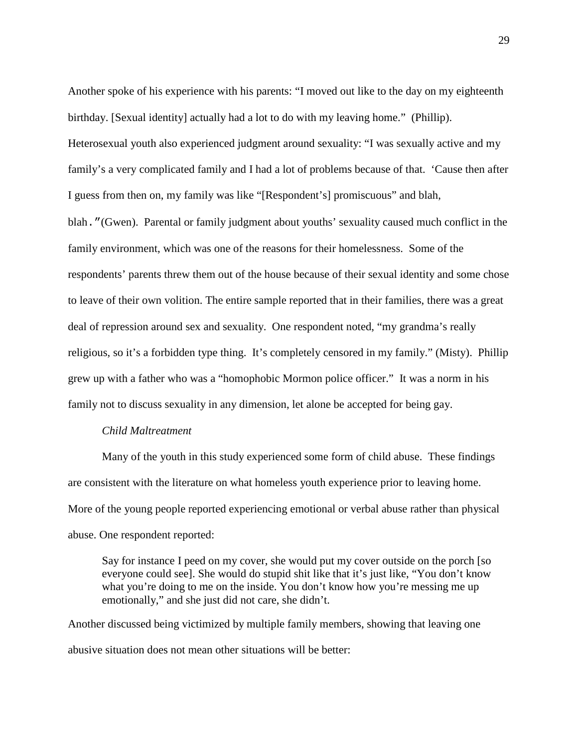Another spoke of his experience with his parents: "I moved out like to the day on my eighteenth birthday. [Sexual identity] actually had a lot to do with my leaving home." (Phillip). Heterosexual youth also experienced judgment around sexuality: "I was sexually active and my family's a very complicated family and I had a lot of problems because of that. 'Cause then after I guess from then on, my family was like "[Respondent's] promiscuous" and blah, blah."(Gwen). Parental or family judgment about youths' sexuality caused much conflict in the family environment, which was one of the reasons for their homelessness. Some of the respondents' parents threw them out of the house because of their sexual identity and some chose to leave of their own volition. The entire sample reported that in their families, there was a great deal of repression around sex and sexuality. One respondent noted, "my grandma's really religious, so it's a forbidden type thing. It's completely censored in my family." (Misty). Phillip grew up with a father who was a "homophobic Mormon police officer." It was a norm in his family not to discuss sexuality in any dimension, let alone be accepted for being gay.

#### *Child Maltreatment*

Many of the youth in this study experienced some form of child abuse. These findings are consistent with the literature on what homeless youth experience prior to leaving home. More of the young people reported experiencing emotional or verbal abuse rather than physical abuse. One respondent reported:

Say for instance I peed on my cover, she would put my cover outside on the porch [so everyone could see]. She would do stupid shit like that it's just like, "You don't know what you're doing to me on the inside. You don't know how you're messing me up emotionally," and she just did not care, she didn't.

Another discussed being victimized by multiple family members, showing that leaving one abusive situation does not mean other situations will be better: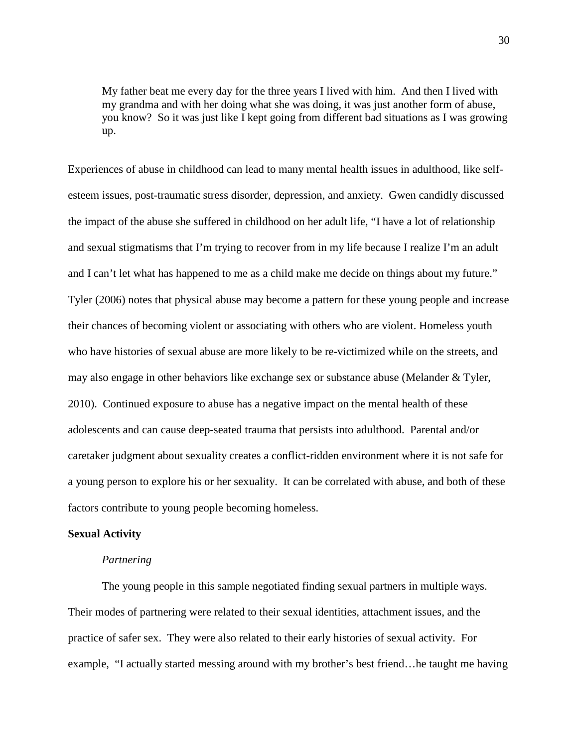My father beat me every day for the three years I lived with him. And then I lived with my grandma and with her doing what she was doing, it was just another form of abuse, you know? So it was just like I kept going from different bad situations as I was growing up.

Experiences of abuse in childhood can lead to many mental health issues in adulthood, like selfesteem issues, post-traumatic stress disorder, depression, and anxiety. Gwen candidly discussed the impact of the abuse she suffered in childhood on her adult life, "I have a lot of relationship and sexual stigmatisms that I'm trying to recover from in my life because I realize I'm an adult and I can't let what has happened to me as a child make me decide on things about my future." Tyler (2006) notes that physical abuse may become a pattern for these young people and increase their chances of becoming violent or associating with others who are violent. Homeless youth who have histories of sexual abuse are more likely to be re-victimized while on the streets, and may also engage in other behaviors like exchange sex or substance abuse (Melander & Tyler, 2010). Continued exposure to abuse has a negative impact on the mental health of these adolescents and can cause deep-seated trauma that persists into adulthood. Parental and/or caretaker judgment about sexuality creates a conflict-ridden environment where it is not safe for a young person to explore his or her sexuality. It can be correlated with abuse, and both of these factors contribute to young people becoming homeless.

#### **Sexual Activity**

#### *Partnering*

The young people in this sample negotiated finding sexual partners in multiple ways. Their modes of partnering were related to their sexual identities, attachment issues, and the practice of safer sex. They were also related to their early histories of sexual activity. For example, "I actually started messing around with my brother's best friend…he taught me having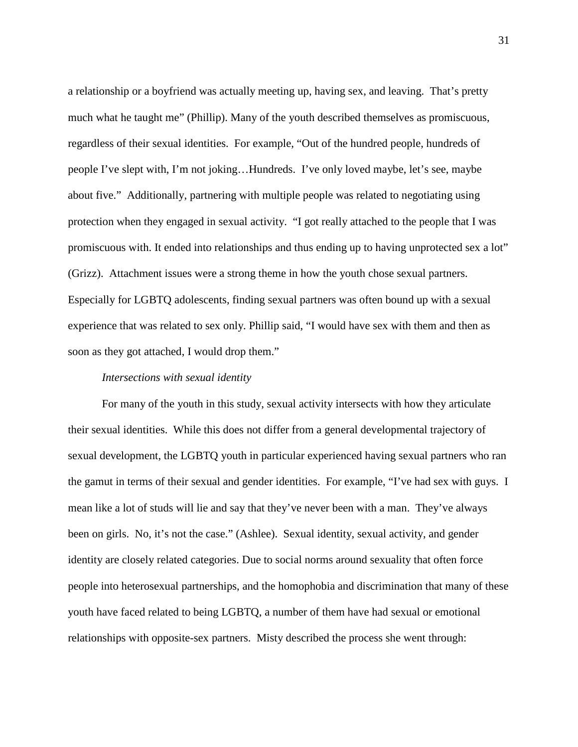a relationship or a boyfriend was actually meeting up, having sex, and leaving. That's pretty much what he taught me" (Phillip). Many of the youth described themselves as promiscuous, regardless of their sexual identities. For example, "Out of the hundred people, hundreds of people I've slept with, I'm not joking…Hundreds. I've only loved maybe, let's see, maybe about five." Additionally, partnering with multiple people was related to negotiating using protection when they engaged in sexual activity. "I got really attached to the people that I was promiscuous with. It ended into relationships and thus ending up to having unprotected sex a lot" (Grizz). Attachment issues were a strong theme in how the youth chose sexual partners. Especially for LGBTQ adolescents, finding sexual partners was often bound up with a sexual experience that was related to sex only. Phillip said, "I would have sex with them and then as soon as they got attached, I would drop them."

#### *Intersections with sexual identity*

For many of the youth in this study, sexual activity intersects with how they articulate their sexual identities. While this does not differ from a general developmental trajectory of sexual development, the LGBTQ youth in particular experienced having sexual partners who ran the gamut in terms of their sexual and gender identities. For example, "I've had sex with guys. I mean like a lot of studs will lie and say that they've never been with a man. They've always been on girls. No, it's not the case." (Ashlee). Sexual identity, sexual activity, and gender identity are closely related categories. Due to social norms around sexuality that often force people into heterosexual partnerships, and the homophobia and discrimination that many of these youth have faced related to being LGBTQ, a number of them have had sexual or emotional relationships with opposite-sex partners. Misty described the process she went through: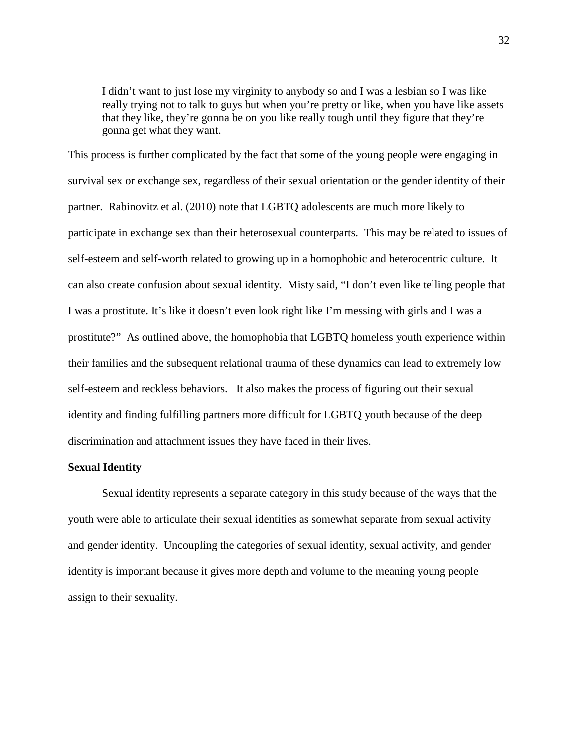I didn't want to just lose my virginity to anybody so and I was a lesbian so I was like really trying not to talk to guys but when you're pretty or like, when you have like assets that they like, they're gonna be on you like really tough until they figure that they're gonna get what they want.

This process is further complicated by the fact that some of the young people were engaging in survival sex or exchange sex, regardless of their sexual orientation or the gender identity of their partner. Rabinovitz et al. (2010) note that LGBTQ adolescents are much more likely to participate in exchange sex than their heterosexual counterparts. This may be related to issues of self-esteem and self-worth related to growing up in a homophobic and heterocentric culture. It can also create confusion about sexual identity. Misty said, "I don't even like telling people that I was a prostitute. It's like it doesn't even look right like I'm messing with girls and I was a prostitute?" As outlined above, the homophobia that LGBTQ homeless youth experience within their families and the subsequent relational trauma of these dynamics can lead to extremely low self-esteem and reckless behaviors. It also makes the process of figuring out their sexual identity and finding fulfilling partners more difficult for LGBTQ youth because of the deep discrimination and attachment issues they have faced in their lives.

### **Sexual Identity**

Sexual identity represents a separate category in this study because of the ways that the youth were able to articulate their sexual identities as somewhat separate from sexual activity and gender identity. Uncoupling the categories of sexual identity, sexual activity, and gender identity is important because it gives more depth and volume to the meaning young people assign to their sexuality.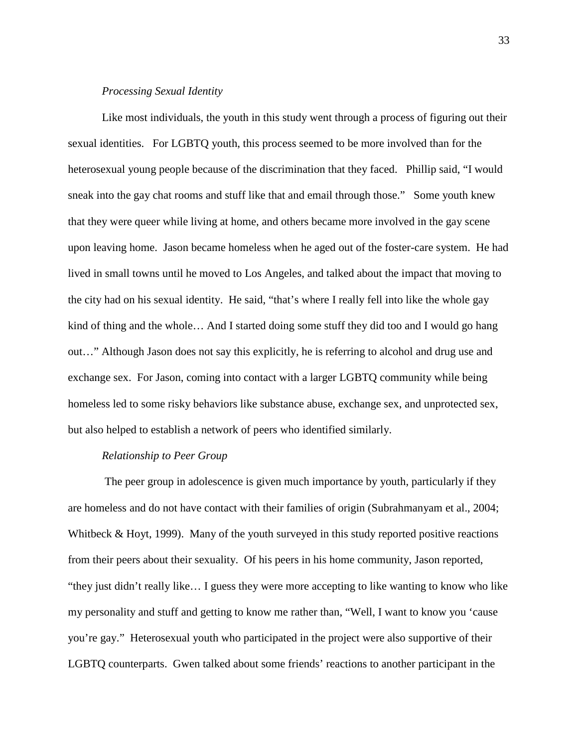#### *Processing Sexual Identity*

Like most individuals, the youth in this study went through a process of figuring out their sexual identities. For LGBTQ youth, this process seemed to be more involved than for the heterosexual young people because of the discrimination that they faced. Phillip said, "I would sneak into the gay chat rooms and stuff like that and email through those." Some youth knew that they were queer while living at home, and others became more involved in the gay scene upon leaving home. Jason became homeless when he aged out of the foster-care system. He had lived in small towns until he moved to Los Angeles, and talked about the impact that moving to the city had on his sexual identity. He said, "that's where I really fell into like the whole gay kind of thing and the whole… And I started doing some stuff they did too and I would go hang out…" Although Jason does not say this explicitly, he is referring to alcohol and drug use and exchange sex. For Jason, coming into contact with a larger LGBTQ community while being homeless led to some risky behaviors like substance abuse, exchange sex, and unprotected sex, but also helped to establish a network of peers who identified similarly.

# *Relationship to Peer Group*

The peer group in adolescence is given much importance by youth, particularly if they are homeless and do not have contact with their families of origin (Subrahmanyam et al., 2004; Whitbeck & Hoyt, 1999). Many of the youth surveyed in this study reported positive reactions from their peers about their sexuality. Of his peers in his home community, Jason reported, "they just didn't really like… I guess they were more accepting to like wanting to know who like my personality and stuff and getting to know me rather than, "Well, I want to know you 'cause you're gay." Heterosexual youth who participated in the project were also supportive of their LGBTQ counterparts. Gwen talked about some friends' reactions to another participant in the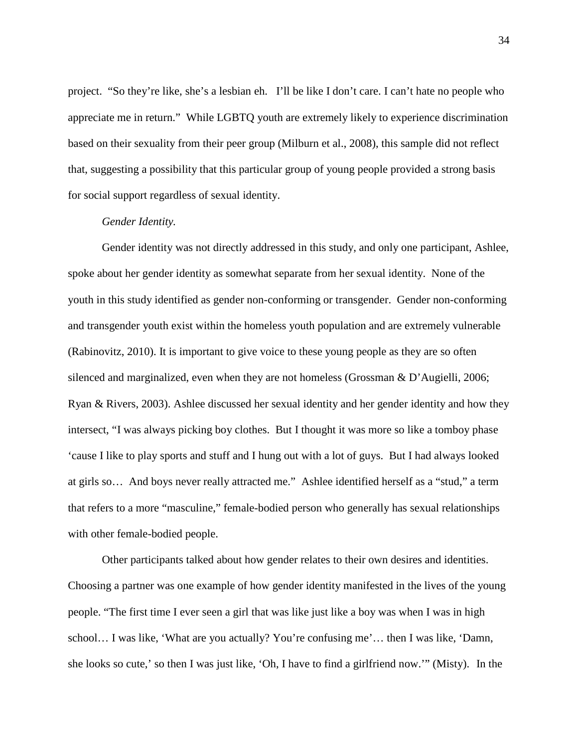project. "So they're like, she's a lesbian eh. I'll be like I don't care. I can't hate no people who appreciate me in return." While LGBTQ youth are extremely likely to experience discrimination based on their sexuality from their peer group (Milburn et al., 2008), this sample did not reflect that, suggesting a possibility that this particular group of young people provided a strong basis for social support regardless of sexual identity.

#### *Gender Identity.*

Gender identity was not directly addressed in this study, and only one participant, Ashlee, spoke about her gender identity as somewhat separate from her sexual identity. None of the youth in this study identified as gender non-conforming or transgender. Gender non-conforming and transgender youth exist within the homeless youth population and are extremely vulnerable (Rabinovitz, 2010). It is important to give voice to these young people as they are so often silenced and marginalized, even when they are not homeless (Grossman & D'Augielli, 2006; Ryan & Rivers, 2003). Ashlee discussed her sexual identity and her gender identity and how they intersect, "I was always picking boy clothes. But I thought it was more so like a tomboy phase 'cause I like to play sports and stuff and I hung out with a lot of guys. But I had always looked at girls so… And boys never really attracted me." Ashlee identified herself as a "stud," a term that refers to a more "masculine," female-bodied person who generally has sexual relationships with other female-bodied people.

Other participants talked about how gender relates to their own desires and identities. Choosing a partner was one example of how gender identity manifested in the lives of the young people. "The first time I ever seen a girl that was like just like a boy was when I was in high school… I was like, 'What are you actually? You're confusing me'… then I was like, 'Damn, she looks so cute,' so then I was just like, 'Oh, I have to find a girlfriend now.'" (Misty). In the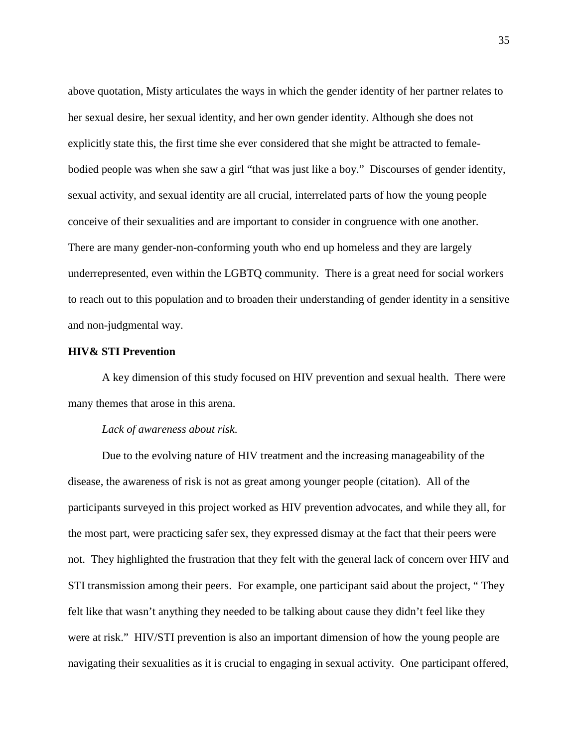above quotation, Misty articulates the ways in which the gender identity of her partner relates to her sexual desire, her sexual identity, and her own gender identity. Although she does not explicitly state this, the first time she ever considered that she might be attracted to femalebodied people was when she saw a girl "that was just like a boy." Discourses of gender identity, sexual activity, and sexual identity are all crucial, interrelated parts of how the young people conceive of their sexualities and are important to consider in congruence with one another. There are many gender-non-conforming youth who end up homeless and they are largely underrepresented, even within the LGBTQ community. There is a great need for social workers to reach out to this population and to broaden their understanding of gender identity in a sensitive and non-judgmental way.

### **HIV& STI Prevention**

A key dimension of this study focused on HIV prevention and sexual health. There were many themes that arose in this arena.

#### *Lack of awareness about risk*.

Due to the evolving nature of HIV treatment and the increasing manageability of the disease, the awareness of risk is not as great among younger people (citation). All of the participants surveyed in this project worked as HIV prevention advocates, and while they all, for the most part, were practicing safer sex, they expressed dismay at the fact that their peers were not. They highlighted the frustration that they felt with the general lack of concern over HIV and STI transmission among their peers. For example, one participant said about the project, " They felt like that wasn't anything they needed to be talking about cause they didn't feel like they were at risk." HIV/STI prevention is also an important dimension of how the young people are navigating their sexualities as it is crucial to engaging in sexual activity. One participant offered,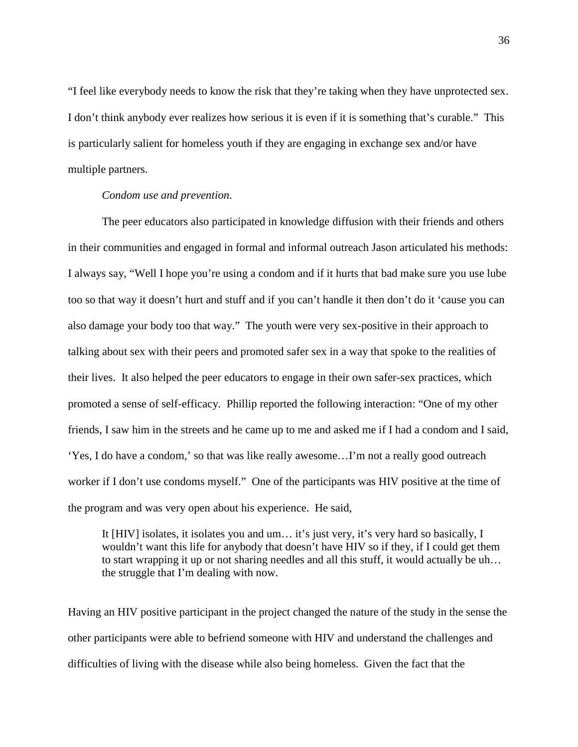"I feel like everybody needs to know the risk that they're taking when they have unprotected sex. I don't think anybody ever realizes how serious it is even if it is something that's curable." This is particularly salient for homeless youth if they are engaging in exchange sex and/or have multiple partners.

#### *Condom use and prevention*.

The peer educators also participated in knowledge diffusion with their friends and others in their communities and engaged in formal and informal outreach Jason articulated his methods: I always say, "Well I hope you're using a condom and if it hurts that bad make sure you use lube too so that way it doesn't hurt and stuff and if you can't handle it then don't do it 'cause you can also damage your body too that way." The youth were very sex-positive in their approach to talking about sex with their peers and promoted safer sex in a way that spoke to the realities of their lives. It also helped the peer educators to engage in their own safer-sex practices, which promoted a sense of self-efficacy. Phillip reported the following interaction: "One of my other friends, I saw him in the streets and he came up to me and asked me if I had a condom and I said, 'Yes, I do have a condom,' so that was like really awesome…I'm not a really good outreach worker if I don't use condoms myself." One of the participants was HIV positive at the time of the program and was very open about his experience. He said,

It [HIV] isolates, it isolates you and um… it's just very, it's very hard so basically, I wouldn't want this life for anybody that doesn't have HIV so if they, if I could get them to start wrapping it up or not sharing needles and all this stuff, it would actually be uh… the struggle that I'm dealing with now.

Having an HIV positive participant in the project changed the nature of the study in the sense the other participants were able to befriend someone with HIV and understand the challenges and difficulties of living with the disease while also being homeless. Given the fact that the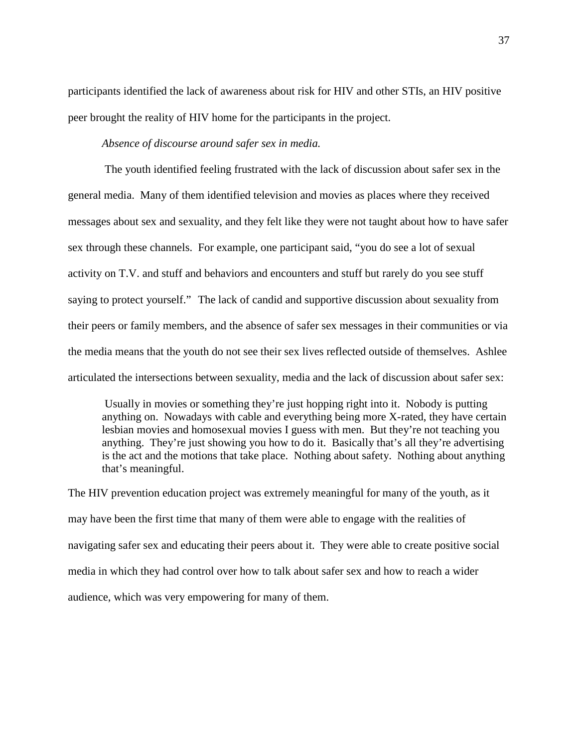participants identified the lack of awareness about risk for HIV and other STIs, an HIV positive peer brought the reality of HIV home for the participants in the project.

*Absence of discourse around safer sex in media.*

The youth identified feeling frustrated with the lack of discussion about safer sex in the general media. Many of them identified television and movies as places where they received messages about sex and sexuality, and they felt like they were not taught about how to have safer sex through these channels. For example, one participant said, "you do see a lot of sexual activity on T.V. and stuff and behaviors and encounters and stuff but rarely do you see stuff saying to protect yourself." The lack of candid and supportive discussion about sexuality from their peers or family members, and the absence of safer sex messages in their communities or via the media means that the youth do not see their sex lives reflected outside of themselves. Ashlee articulated the intersections between sexuality, media and the lack of discussion about safer sex:

Usually in movies or something they're just hopping right into it. Nobody is putting anything on. Nowadays with cable and everything being more X-rated, they have certain lesbian movies and homosexual movies I guess with men. But they're not teaching you anything. They're just showing you how to do it. Basically that's all they're advertising is the act and the motions that take place. Nothing about safety. Nothing about anything that's meaningful.

The HIV prevention education project was extremely meaningful for many of the youth, as it may have been the first time that many of them were able to engage with the realities of navigating safer sex and educating their peers about it. They were able to create positive social media in which they had control over how to talk about safer sex and how to reach a wider audience, which was very empowering for many of them.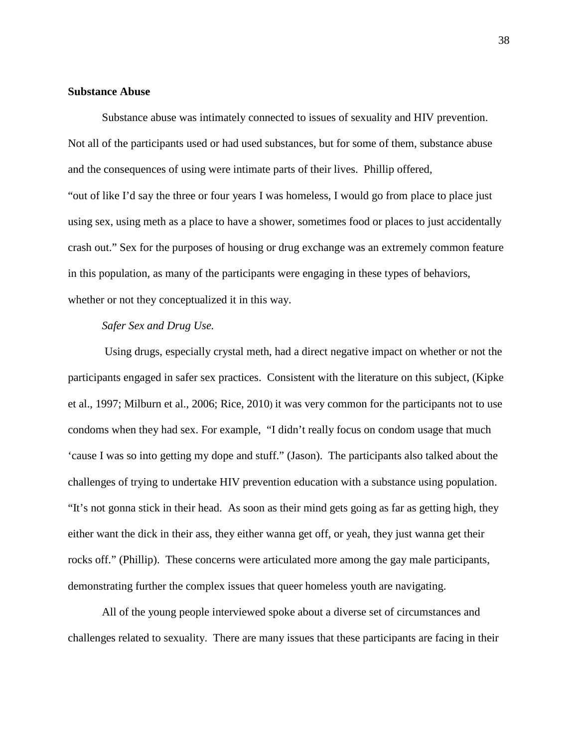#### **Substance Abuse**

Substance abuse was intimately connected to issues of sexuality and HIV prevention. Not all of the participants used or had used substances, but for some of them, substance abuse and the consequences of using were intimate parts of their lives. Phillip offered, "out of like I'd say the three or four years I was homeless, I would go from place to place just using sex, using meth as a place to have a shower, sometimes food or places to just accidentally crash out." Sex for the purposes of housing or drug exchange was an extremely common feature in this population, as many of the participants were engaging in these types of behaviors, whether or not they conceptualized it in this way.

# *Safer Sex and Drug Use.*

Using drugs, especially crystal meth, had a direct negative impact on whether or not the participants engaged in safer sex practices. Consistent with the literature on this subject, (Kipke et al., 1997; Milburn et al., 2006; Rice, 2010) it was very common for the participants not to use condoms when they had sex. For example, "I didn't really focus on condom usage that much 'cause I was so into getting my dope and stuff." (Jason). The participants also talked about the challenges of trying to undertake HIV prevention education with a substance using population. "It's not gonna stick in their head. As soon as their mind gets going as far as getting high, they either want the dick in their ass, they either wanna get off, or yeah, they just wanna get their rocks off." (Phillip). These concerns were articulated more among the gay male participants, demonstrating further the complex issues that queer homeless youth are navigating.

All of the young people interviewed spoke about a diverse set of circumstances and challenges related to sexuality. There are many issues that these participants are facing in their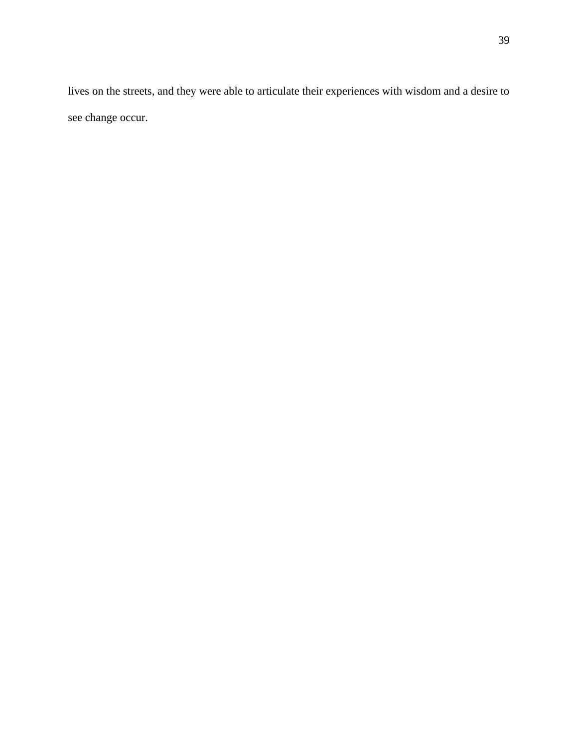lives on the streets, and they were able to articulate their experiences with wisdom and a desire to see change occur.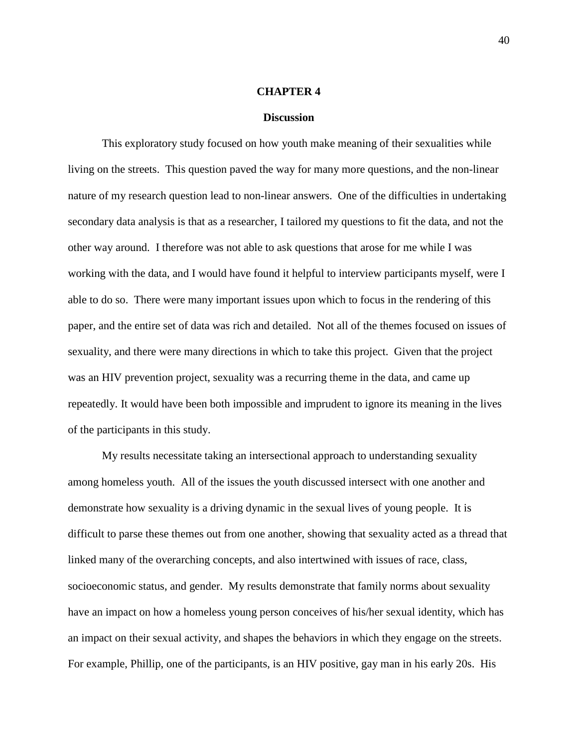#### **CHAPTER 4**

#### **Discussion**

This exploratory study focused on how youth make meaning of their sexualities while living on the streets. This question paved the way for many more questions, and the non-linear nature of my research question lead to non-linear answers. One of the difficulties in undertaking secondary data analysis is that as a researcher, I tailored my questions to fit the data, and not the other way around. I therefore was not able to ask questions that arose for me while I was working with the data, and I would have found it helpful to interview participants myself, were I able to do so. There were many important issues upon which to focus in the rendering of this paper, and the entire set of data was rich and detailed. Not all of the themes focused on issues of sexuality, and there were many directions in which to take this project. Given that the project was an HIV prevention project, sexuality was a recurring theme in the data, and came up repeatedly. It would have been both impossible and imprudent to ignore its meaning in the lives of the participants in this study.

My results necessitate taking an intersectional approach to understanding sexuality among homeless youth. All of the issues the youth discussed intersect with one another and demonstrate how sexuality is a driving dynamic in the sexual lives of young people. It is difficult to parse these themes out from one another, showing that sexuality acted as a thread that linked many of the overarching concepts, and also intertwined with issues of race, class, socioeconomic status, and gender. My results demonstrate that family norms about sexuality have an impact on how a homeless young person conceives of his/her sexual identity, which has an impact on their sexual activity, and shapes the behaviors in which they engage on the streets. For example, Phillip, one of the participants, is an HIV positive, gay man in his early 20s. His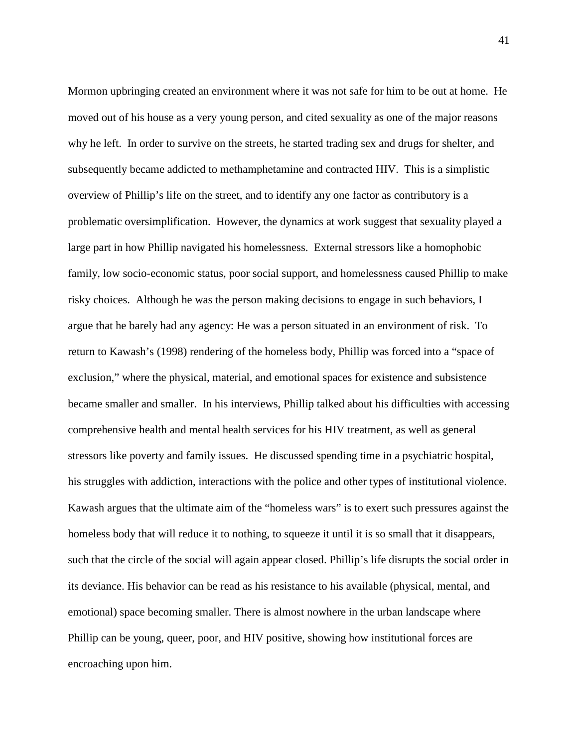Mormon upbringing created an environment where it was not safe for him to be out at home. He moved out of his house as a very young person, and cited sexuality as one of the major reasons why he left. In order to survive on the streets, he started trading sex and drugs for shelter, and subsequently became addicted to methamphetamine and contracted HIV. This is a simplistic overview of Phillip's life on the street, and to identify any one factor as contributory is a problematic oversimplification. However, the dynamics at work suggest that sexuality played a large part in how Phillip navigated his homelessness. External stressors like a homophobic family, low socio-economic status, poor social support, and homelessness caused Phillip to make risky choices. Although he was the person making decisions to engage in such behaviors, I argue that he barely had any agency: He was a person situated in an environment of risk. To return to Kawash's (1998) rendering of the homeless body, Phillip was forced into a "space of exclusion," where the physical, material, and emotional spaces for existence and subsistence became smaller and smaller. In his interviews, Phillip talked about his difficulties with accessing comprehensive health and mental health services for his HIV treatment, as well as general stressors like poverty and family issues. He discussed spending time in a psychiatric hospital, his struggles with addiction, interactions with the police and other types of institutional violence. Kawash argues that the ultimate aim of the "homeless wars" is to exert such pressures against the homeless body that will reduce it to nothing, to squeeze it until it is so small that it disappears, such that the circle of the social will again appear closed. Phillip's life disrupts the social order in its deviance. His behavior can be read as his resistance to his available (physical, mental, and emotional) space becoming smaller. There is almost nowhere in the urban landscape where Phillip can be young, queer, poor, and HIV positive, showing how institutional forces are encroaching upon him.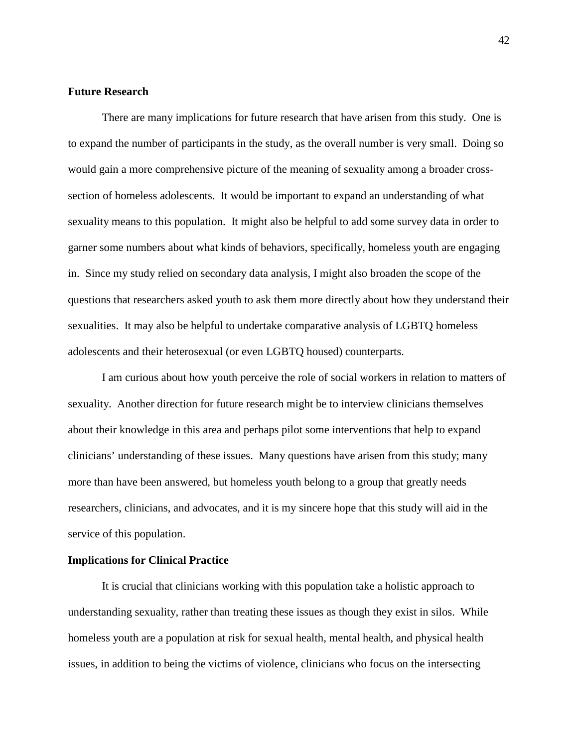### **Future Research**

There are many implications for future research that have arisen from this study. One is to expand the number of participants in the study, as the overall number is very small. Doing so would gain a more comprehensive picture of the meaning of sexuality among a broader crosssection of homeless adolescents. It would be important to expand an understanding of what sexuality means to this population. It might also be helpful to add some survey data in order to garner some numbers about what kinds of behaviors, specifically, homeless youth are engaging in. Since my study relied on secondary data analysis, I might also broaden the scope of the questions that researchers asked youth to ask them more directly about how they understand their sexualities. It may also be helpful to undertake comparative analysis of LGBTQ homeless adolescents and their heterosexual (or even LGBTQ housed) counterparts.

I am curious about how youth perceive the role of social workers in relation to matters of sexuality. Another direction for future research might be to interview clinicians themselves about their knowledge in this area and perhaps pilot some interventions that help to expand clinicians' understanding of these issues. Many questions have arisen from this study; many more than have been answered, but homeless youth belong to a group that greatly needs researchers, clinicians, and advocates, and it is my sincere hope that this study will aid in the service of this population.

# **Implications for Clinical Practice**

It is crucial that clinicians working with this population take a holistic approach to understanding sexuality, rather than treating these issues as though they exist in silos. While homeless youth are a population at risk for sexual health, mental health, and physical health issues, in addition to being the victims of violence, clinicians who focus on the intersecting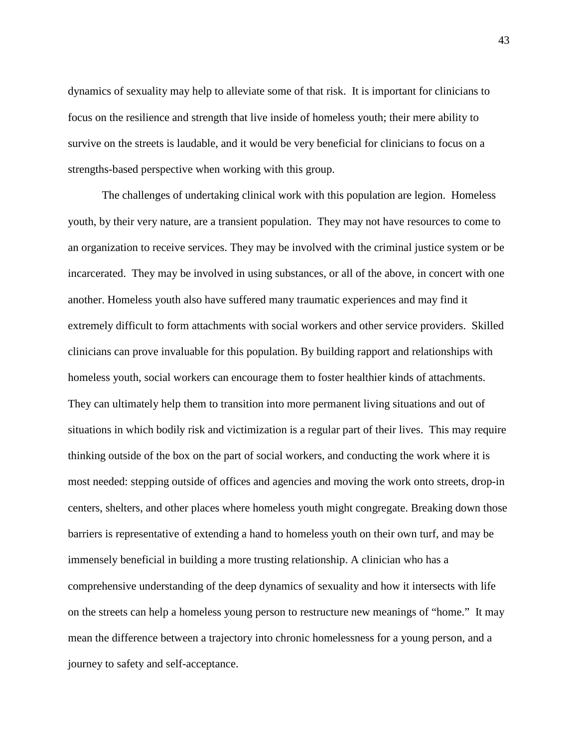dynamics of sexuality may help to alleviate some of that risk. It is important for clinicians to focus on the resilience and strength that live inside of homeless youth; their mere ability to survive on the streets is laudable, and it would be very beneficial for clinicians to focus on a strengths-based perspective when working with this group.

The challenges of undertaking clinical work with this population are legion. Homeless youth, by their very nature, are a transient population. They may not have resources to come to an organization to receive services. They may be involved with the criminal justice system or be incarcerated. They may be involved in using substances, or all of the above, in concert with one another. Homeless youth also have suffered many traumatic experiences and may find it extremely difficult to form attachments with social workers and other service providers. Skilled clinicians can prove invaluable for this population. By building rapport and relationships with homeless youth, social workers can encourage them to foster healthier kinds of attachments. They can ultimately help them to transition into more permanent living situations and out of situations in which bodily risk and victimization is a regular part of their lives. This may require thinking outside of the box on the part of social workers, and conducting the work where it is most needed: stepping outside of offices and agencies and moving the work onto streets, drop-in centers, shelters, and other places where homeless youth might congregate. Breaking down those barriers is representative of extending a hand to homeless youth on their own turf, and may be immensely beneficial in building a more trusting relationship. A clinician who has a comprehensive understanding of the deep dynamics of sexuality and how it intersects with life on the streets can help a homeless young person to restructure new meanings of "home." It may mean the difference between a trajectory into chronic homelessness for a young person, and a journey to safety and self-acceptance.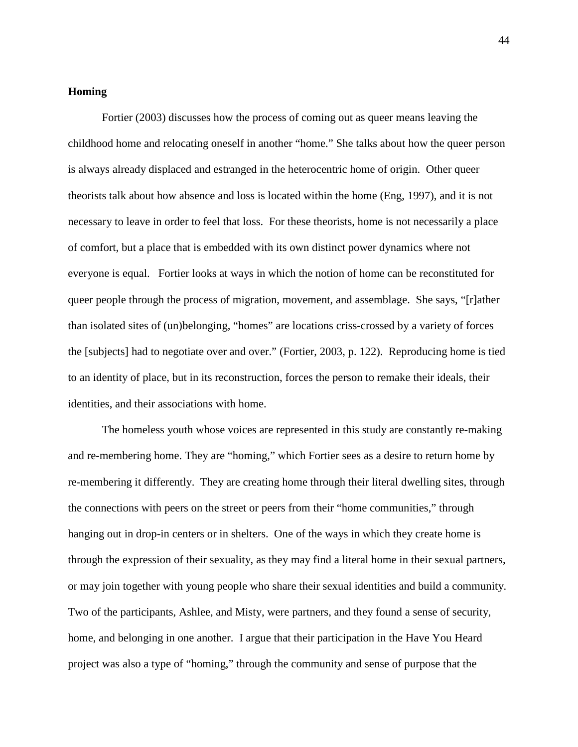### **Homing**

Fortier (2003) discusses how the process of coming out as queer means leaving the childhood home and relocating oneself in another "home." She talks about how the queer person is always already displaced and estranged in the heterocentric home of origin. Other queer theorists talk about how absence and loss is located within the home (Eng, 1997), and it is not necessary to leave in order to feel that loss. For these theorists, home is not necessarily a place of comfort, but a place that is embedded with its own distinct power dynamics where not everyone is equal. Fortier looks at ways in which the notion of home can be reconstituted for queer people through the process of migration, movement, and assemblage. She says, "[r]ather than isolated sites of (un)belonging, "homes" are locations criss-crossed by a variety of forces the [subjects] had to negotiate over and over." (Fortier, 2003, p. 122). Reproducing home is tied to an identity of place, but in its reconstruction, forces the person to remake their ideals, their identities, and their associations with home.

The homeless youth whose voices are represented in this study are constantly re-making and re-membering home. They are "homing," which Fortier sees as a desire to return home by re-membering it differently. They are creating home through their literal dwelling sites, through the connections with peers on the street or peers from their "home communities," through hanging out in drop-in centers or in shelters. One of the ways in which they create home is through the expression of their sexuality, as they may find a literal home in their sexual partners, or may join together with young people who share their sexual identities and build a community. Two of the participants, Ashlee, and Misty, were partners, and they found a sense of security, home, and belonging in one another. I argue that their participation in the Have You Heard project was also a type of "homing," through the community and sense of purpose that the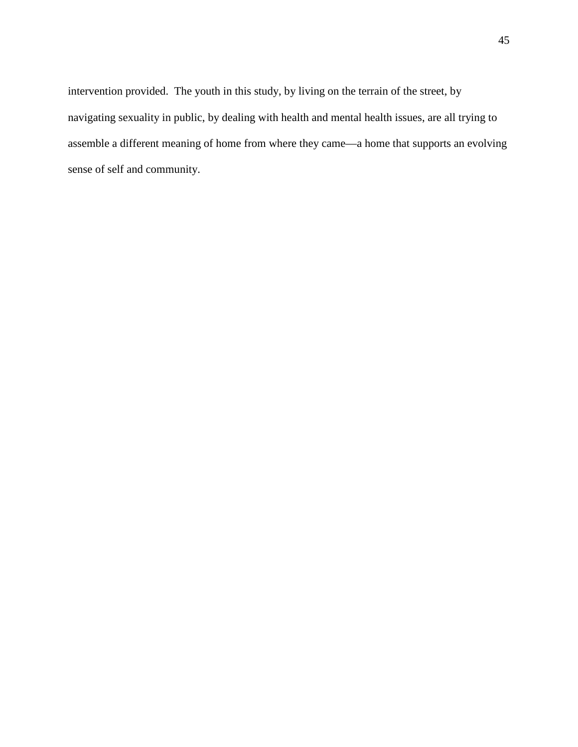intervention provided. The youth in this study, by living on the terrain of the street, by navigating sexuality in public, by dealing with health and mental health issues, are all trying to assemble a different meaning of home from where they came—a home that supports an evolving sense of self and community.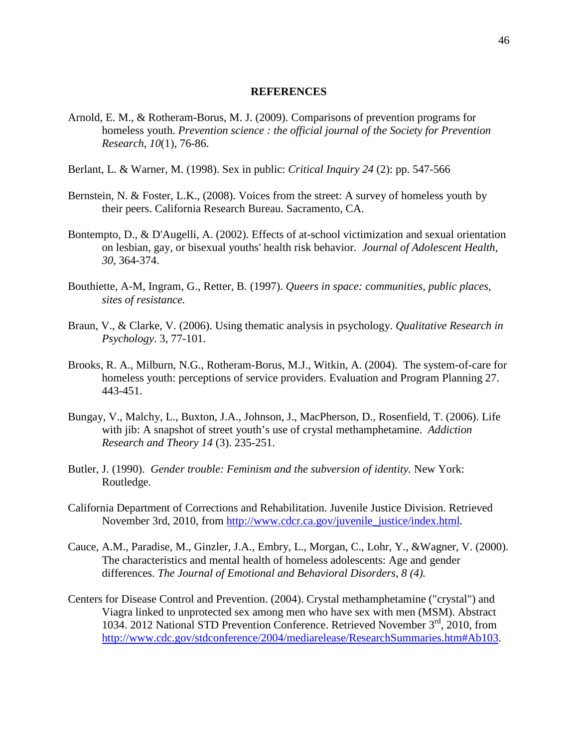#### **REFERENCES**

- Arnold, E. M., & Rotheram-Borus, M. J. (2009). Comparisons of prevention programs for homeless youth. *Prevention science : the official journal of the Society for Prevention Research*, *10*(1), 76-86.
- Berlant, L. & Warner, M. (1998). Sex in public: *Critical Inquiry 24* (2): pp. 547-566
- Bernstein, N. & Foster, L.K., (2008). Voices from the street: A survey of homeless youth by their peers. California Research Bureau. Sacramento, CA.
- Bontempto, D., & D'Augelli, A. (2002). Effects of at-school victimization and sexual orientation on lesbian, gay, or bisexual youths' health risk behavior. *Journal of Adolescent Health, 30*, 364-374.
- Bouthiette, A-M, Ingram, G., Retter, B. (1997). *Queers in space: communities, public places, sites of resistance.*
- Braun, V., & Clarke, V. (2006). Using thematic analysis in psychology. *Qualitative Research in Psychology*. 3, 77-101.
- Brooks, R. A., Milburn, N.G., Rotheram-Borus, M.J., Witkin, A. (2004). The system-of-care for homeless youth: perceptions of service providers. Evaluation and Program Planning 27. 443-451.
- Bungay, V., Malchy, L., Buxton, J.A., Johnson, J., MacPherson, D., Rosenfield, T. (2006). Life with jib: A snapshot of street youth's use of crystal methamphetamine. *Addiction Research and Theory 14* (3). 235-251.
- Butler, J. (1990). *Gender trouble: Feminism and the subversion of identity.* New York: Routledge.
- California Department of Corrections and Rehabilitation. Juvenile Justice Division. Retrieved November 3rd, 2010, from [http://www.cdcr.ca.gov/juvenile\\_justice/index.html.](http://www.cdcr.ca.gov/juvenile_justice/index.html)
- Cauce, A.M., Paradise, M., Ginzler, J.A., Embry, L., Morgan, C., Lohr, Y., &Wagner, V. (2000). The characteristics and mental health of homeless adolescents: Age and gender differences. *The Journal of Emotional and Behavioral Disorders, 8 (4).*
- Centers for Disease Control and Prevention. (2004). Crystal methamphetamine ("crystal") and Viagra linked to unprotected sex among men who have sex with men (MSM). Abstract 1034. 2012 National STD Prevention Conference. Retrieved November 3rd, 2010, from [http://www.cdc.gov/stdconference/2004/mediarelease/ResearchSummaries.htm#Ab103.](http://www.cdc.gov/stdconference/2004/mediarelease/ResearchSummaries.htm#Ab103)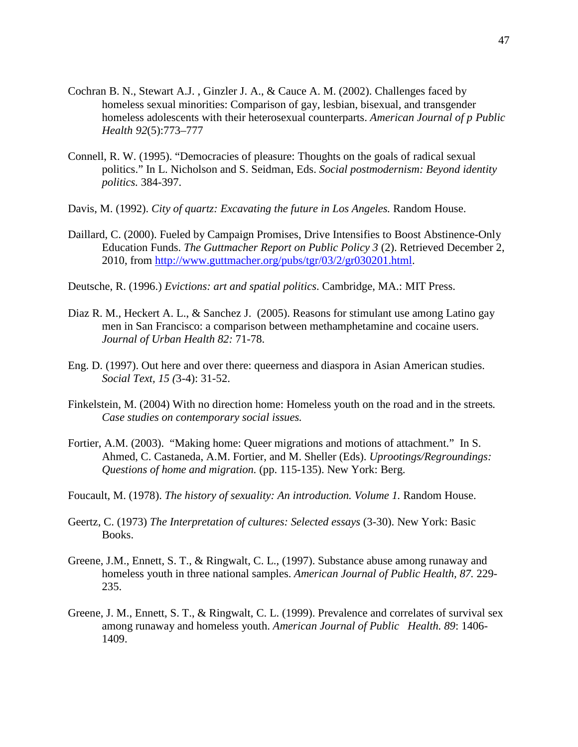- Cochran B. N., Stewart A.J. , Ginzler J. A., & Cauce A. M. (2002). Challenges faced by homeless sexual minorities: Comparison of gay, lesbian, bisexual, and transgender homeless adolescents with their heterosexual counterparts. *American Journal of p Public Health 92*(5):773–777
- Connell, R. W. (1995). "Democracies of pleasure: Thoughts on the goals of radical sexual politics." In L. Nicholson and S. Seidman, Eds. *Social postmodernism: Beyond identity politics.* 384-397.
- Davis, M. (1992). *City of quartz: Excavating the future in Los Angeles.* Random House.
- Daillard, C. (2000). Fueled by Campaign Promises, Drive Intensifies to Boost Abstinence-Only Education Funds. *The Guttmacher Report on Public Policy 3* (2). Retrieved December 2, 2010, from [http://www.guttmacher.org/pubs/tgr/03/2/gr030201.html.](http://www.guttmacher.org/pubs/tgr/03/2/gr030201.html)
- Deutsche, R. (1996.) *Evictions: art and spatial politics*. Cambridge, MA.: MIT Press.
- Diaz R. M., Heckert A. L., & Sanchez J. (2005). Reasons for stimulant use among Latino gay men in San Francisco: a comparison between methamphetamine and cocaine users. *Journal of Urban Health 82:* 71-78.
- Eng. D. (1997). Out here and over there: queerness and diaspora in Asian American studies. *Social Text, 15 (*3-4): 31-52.
- Finkelstein, M. (2004) With no direction home: Homeless youth on the road and in the streets*. Case studies on contemporary social issues.*
- Fortier, A.M. (2003). "Making home: Queer migrations and motions of attachment." In S. Ahmed, C. Castaneda, A.M. Fortier, and M. Sheller (Eds). *Uprootings/Regroundings: Questions of home and migration.* (pp. 115-135). New York: Berg.
- Foucault, M. (1978). *The history of sexuality: An introduction. Volume 1*. Random House.
- Geertz, C. (1973) *The Interpretation of cultures: Selected essays* (3-30). New York: Basic Books.
- Greene, J.M., Ennett, S. T., & Ringwalt, C. L., (1997). Substance abuse among runaway and homeless youth in three national samples. *American Journal of Public Health, 87.* 229- 235.
- Greene, J. M., Ennett, S. T., & Ringwalt, C. L. (1999). Prevalence and correlates of survival sex among runaway and homeless youth. *American Journal of Public Health. 89*: 1406- 1409.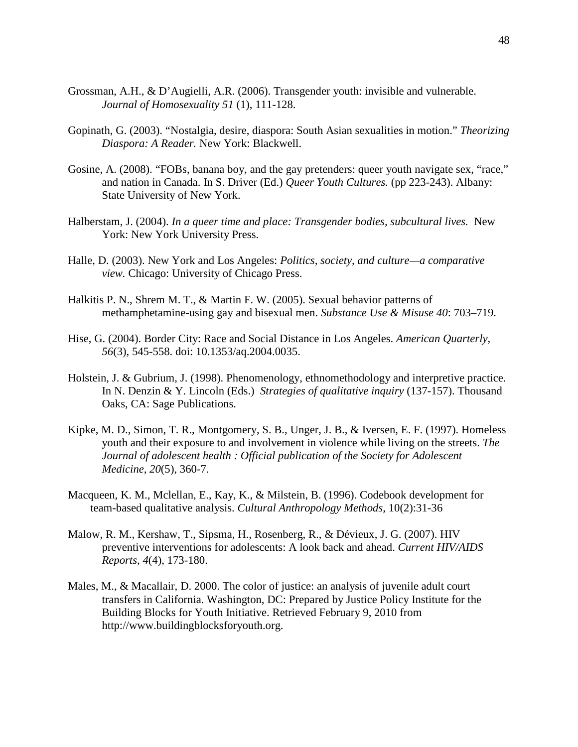- Grossman, A.H., & D'Augielli, A.R. (2006). Transgender youth: invisible and vulnerable. *Journal of Homosexuality 51* (1), 111-128.
- Gopinath, G. (2003). "Nostalgia, desire, diaspora: South Asian sexualities in motion." *Theorizing Diaspora: A Reader.* New York: Blackwell.
- Gosine, A. (2008). "FOBs, banana boy, and the gay pretenders: queer youth navigate sex, "race," and nation in Canada. In S. Driver (Ed.) *Queer Youth Cultures.* (pp 223-243). Albany: State University of New York.
- Halberstam, J. (2004). *In a queer time and place: Transgender bodies, subcultural lives.* New York: New York University Press.
- Halle, D. (2003). New York and Los Angeles: *Politics, society, and culture—a comparative view.* Chicago: University of Chicago Press.
- Halkitis P. N., Shrem M. T., & Martin F. W. (2005). Sexual behavior patterns of methamphetamine-using gay and bisexual men. *Substance Use & Misuse 40*: 703–719.
- Hise, G. (2004). Border City: Race and Social Distance in Los Angeles. *American Quarterly*, *56*(3), 545-558. doi: 10.1353/aq.2004.0035.
- Holstein, J. & Gubrium, J. (1998). Phenomenology, ethnomethodology and interpretive practice. In N. Denzin & Y. Lincoln (Eds.) *Strategies of qualitative inquiry* (137-157). Thousand Oaks, CA: Sage Publications.
- Kipke, M. D., Simon, T. R., Montgomery, S. B., Unger, J. B., & Iversen, E. F. (1997). Homeless youth and their exposure to and involvement in violence while living on the streets. *The Journal of adolescent health : Official publication of the Society for Adolescent Medicine*, *20*(5), 360-7.
- Macqueen, K. M., Mclellan, E., Kay, K., & Milstein, B. (1996). Codebook development for team-based qualitative analysis. *Cultural Anthropology Methods,* 10(2):31-36
- Malow, R. M., Kershaw, T., Sipsma, H., Rosenberg, R., & Dévieux, J. G. (2007). HIV preventive interventions for adolescents: A look back and ahead. *Current HIV/AIDS Reports, 4*(4), 173-180.
- Males, M., & Macallair, D. 2000. The color of justice: an analysis of juvenile adult court transfers in California. Washington, DC: Prepared by Justice Policy Institute for the Building Blocks for Youth Initiative. Retrieved February 9, 2010 from [http://www.buildingblocksforyouth.org.](http://www.buildingblocksforyouth.org/)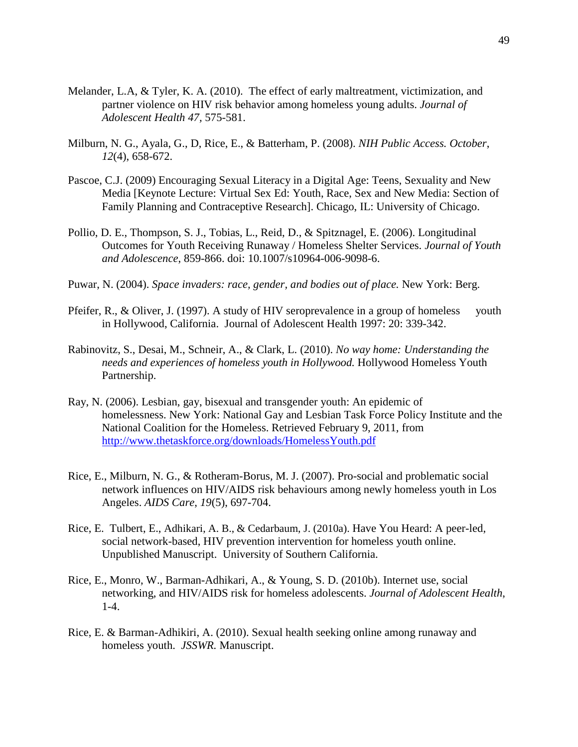- Melander, L.A, & Tyler, K. A. (2010). The effect of early maltreatment, victimization, and partner violence on HIV risk behavior among homeless young adults. *Journal of Adolescent Health 47,* 575-581.
- Milburn, N. G., Ayala, G., D, Rice, E., & Batterham, P. (2008). *NIH Public Access. October*, *12*(4), 658-672.
- Pascoe, C.J. (2009) Encouraging Sexual Literacy in a Digital Age: Teens, Sexuality and New Media [Keynote Lecture: Virtual Sex Ed: Youth, Race, Sex and New Media: Section of Family Planning and Contraceptive Research]. Chicago, IL: University of Chicago.
- Pollio, D. E., Thompson, S. J., Tobias, L., Reid, D., & Spitznagel, E. (2006). Longitudinal Outcomes for Youth Receiving Runaway / Homeless Shelter Services. *Journal of Youth and Adolescence*, 859-866. doi: 10.1007/s10964-006-9098-6.
- Puwar, N. (2004). *Space invaders: race, gender, and bodies out of place.* New York: Berg.
- Pfeifer, R., & Oliver, J. (1997). A study of HIV seroprevalence in a group of homeless youth in Hollywood, California. Journal of Adolescent Health 1997: 20: 339-342.
- Rabinovitz, S., Desai, M., Schneir, A., & Clark, L. (2010). *No way home: Understanding the needs and experiences of homeless youth in Hollywood.* Hollywood Homeless Youth Partnership.
- Ray, N. (2006). Lesbian, gay, bisexual and transgender youth: An epidemic of homelessness. New York: National Gay and Lesbian Task Force Policy Institute and the National Coalition for the Homeless. Retrieved February 9, 2011, from <http://www.thetaskforce.org/downloads/HomelessYouth.pdf>
- Rice, E., Milburn, N. G., & Rotheram-Borus, M. J. (2007). Pro-social and problematic social network influences on HIV/AIDS risk behaviours among newly homeless youth in Los Angeles. *AIDS Care*, *19*(5), 697-704.
- Rice, E. Tulbert, E., Adhikari, A. B., & Cedarbaum, J. (2010a). Have You Heard: A peer-led, social network-based, HIV prevention intervention for homeless youth online. Unpublished Manuscript. University of Southern California.
- Rice, E., Monro, W., Barman-Adhikari, A., & Young, S. D. (2010b). Internet use, social networking, and HIV/AIDS risk for homeless adolescents. *Journal of Adolescent Health*, 1-4.
- Rice, E. & Barman-Adhikiri, A. (2010). Sexual health seeking online among runaway and homeless youth. *JSSWR.* Manuscript.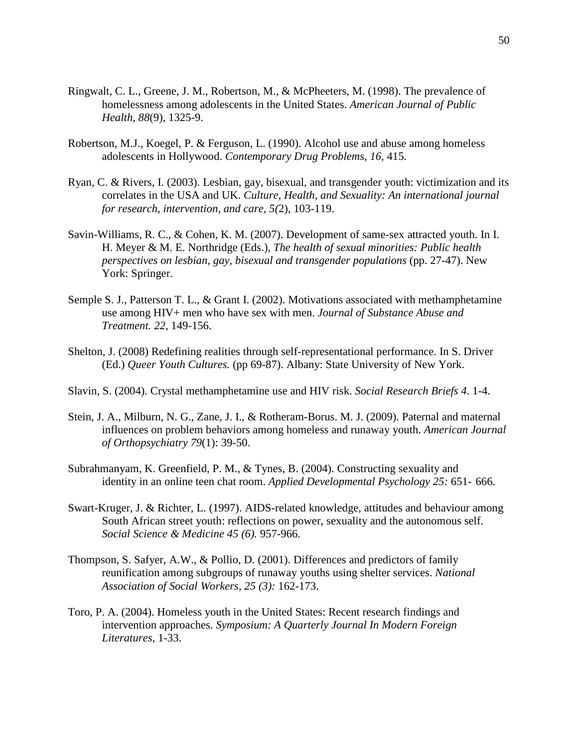- Ringwalt, C. L., Greene, J. M., Robertson, M., & McPheeters, M. (1998). The prevalence of homelessness among adolescents in the United States. *American Journal of Public Health*, *88*(9), 1325-9.
- Robertson, M.J., Koegel, P. & Ferguson, L. (1990). Alcohol use and abuse among homeless adolescents in Hollywood. *Contemporary Drug Problems, 16,* 415.
- Ryan, C. & Rivers, I. (2003). Lesbian, gay, bisexual, and transgender youth: victimization and its correlates in the USA and UK. *Culture, Health, and Sexuality: An international journal for research, intervention, and care*, *5(*2), 103-119.
- Savin-Williams, R. C., & Cohen, K. M. (2007). Development of same-sex attracted youth. In I. H. Meyer & M. E. Northridge (Eds.), *The health of sexual minorities: Public health perspectives on lesbian, gay, bisexual and transgender populations* (pp. 27-47). New York: Springer.
- Semple S. J., Patterson T. L., & Grant I. (2002). Motivations associated with methamphetamine use among HIV+ men who have sex with men. *Journal of Substance Abuse and Treatment. 22,* 149-156.
- Shelton, J. (2008) Redefining realities through self-representational performance. In S. Driver (Ed.) *Queer Youth Cultures.* (pp 69-87). Albany: State University of New York.
- Slavin, S. (2004). Crystal methamphetamine use and HIV risk. *Social Research Briefs 4.* 1-4.
- Stein, J. A., Milburn, N. G., Zane, J. I., & Rotheram-Borus. M. J. (2009). Paternal and maternal influences on problem behaviors among homeless and runaway youth. *American Journal of Orthopsychiatry 79*(1): 39-50.
- Subrahmanyam, K. Greenfield, P. M., & Tynes, B. (2004). Constructing sexuality and identity in an online teen chat room. *Applied Developmental Psychology 25:* 651- 666.
- Swart-Kruger, J. & Richter, L. (1997). AIDS-related knowledge, attitudes and behaviour among South African street youth: reflections on power, sexuality and the autonomous self. *Social Science & Medicine 45 (6).* 957-966.
- Thompson, S. Safyer, A.W., & Pollio, D. (2001). Differences and predictors of family reunification among subgroups of runaway youths using shelter services. *National Association of Social Workers, 25 (3):* 162-173.
- Toro, P. A. (2004). Homeless youth in the United States: Recent research findings and intervention approaches. *Symposium: A Quarterly Journal In Modern Foreign Literatures*, 1-33.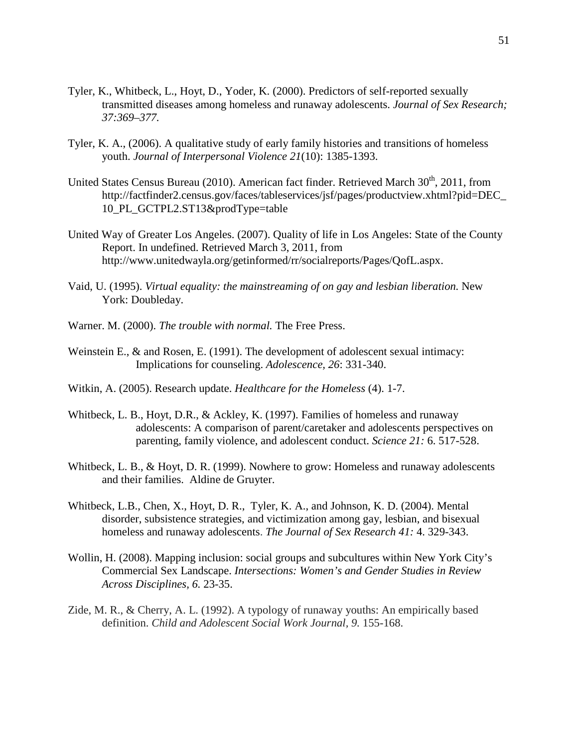- Tyler, K., Whitbeck, L., Hoyt, D., Yoder, K. (2000). Predictors of self-reported sexually transmitted diseases among homeless and runaway adolescents. *Journal of Sex Research; 37:369–377.*
- Tyler, K. A., (2006). A qualitative study of early family histories and transitions of homeless youth. *Journal of Interpersonal Violence 21*(10): 1385-1393.
- United States Census Bureau (2010). American fact finder. Retrieved March 30<sup>th</sup>, 2011, from http://factfinder2.census.gov/faces/tableservices/jsf/pages/productview.xhtml?pid=DEC\_ 10\_PL\_GCTPL2.ST13&prodType=table
- United Way of Greater Los Angeles. (2007). Quality of life in Los Angeles: State of the County Report. In undefined. Retrieved March 3, 2011, from http://www.unitedwayla.org/getinformed/rr/socialreports/Pages/QofL.aspx.
- Vaid, U. (1995). *Virtual equality: the mainstreaming of on gay and lesbian liberation.* New York: Doubleday.
- Warner. M. (2000). *The trouble with normal.* The Free Press.
- Weinstein E., & and Rosen, E. (1991). The development of adolescent sexual intimacy: Implications for counseling. *Adolescence, 26*: 331-340.
- Witkin, A. (2005). Research update. *Healthcare for the Homeless* (4). 1-7.
- Whitbeck, L. B., Hoyt, D.R., & Ackley, K. (1997). Families of homeless and runaway adolescents: A comparison of parent/caretaker and adolescents perspectives on parenting, family violence, and adolescent conduct. *Science 21:* 6. 517-528.
- Whitbeck, L. B., & Hoyt, D. R. (1999). Nowhere to grow: Homeless and runaway adolescents and their families. Aldine de Gruyter.
- Whitbeck, L.B., Chen, X., Hoyt, D. R., Tyler, K. A., and Johnson, K. D. (2004). Mental disorder, subsistence strategies, and victimization among gay, lesbian, and bisexual homeless and runaway adolescents. *The Journal of Sex Research 41:* 4. 329-343.
- Wollin, H. (2008). Mapping inclusion: social groups and subcultures within New York City's Commercial Sex Landscape. *Intersections: Women's and Gender Studies in Review Across Disciplines, 6.* 23-35.
- Zide, M. R., & Cherry, A. L. (1992). A typology of runaway youths: An empirically based definition. *Child and Adolescent Social Work Journal, 9.* 155-168.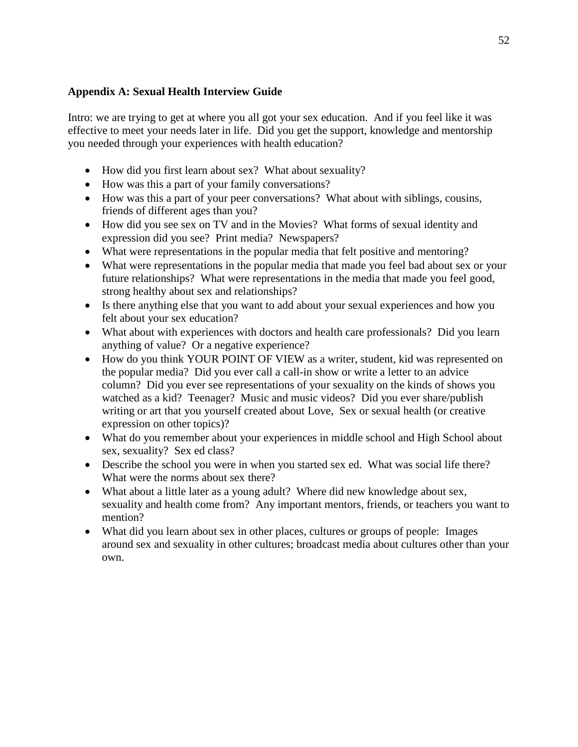# **Appendix A: Sexual Health Interview Guide**

Intro: we are trying to get at where you all got your sex education. And if you feel like it was effective to meet your needs later in life. Did you get the support, knowledge and mentorship you needed through your experiences with health education?

- How did you first learn about sex? What about sexuality?
- How was this a part of your family conversations?
- How was this a part of your peer conversations? What about with siblings, cousins, friends of different ages than you?
- How did you see sex on TV and in the Movies? What forms of sexual identity and expression did you see? Print media? Newspapers?
- What were representations in the popular media that felt positive and mentoring?
- What were representations in the popular media that made you feel bad about sex or your future relationships? What were representations in the media that made you feel good, strong healthy about sex and relationships?
- Is there anything else that you want to add about your sexual experiences and how you felt about your sex education?
- What about with experiences with doctors and health care professionals? Did you learn anything of value? Or a negative experience?
- How do you think YOUR POINT OF VIEW as a writer, student, kid was represented on the popular media? Did you ever call a call-in show or write a letter to an advice column? Did you ever see representations of your sexuality on the kinds of shows you watched as a kid? Teenager? Music and music videos? Did you ever share/publish writing or art that you yourself created about Love, Sex or sexual health (or creative expression on other topics)?
- What do you remember about your experiences in middle school and High School about sex, sexuality? Sex ed class?
- Describe the school you were in when you started sex ed. What was social life there? What were the norms about sex there?
- What about a little later as a young adult? Where did new knowledge about sex, sexuality and health come from? Any important mentors, friends, or teachers you want to mention?
- What did you learn about sex in other places, cultures or groups of people: Images around sex and sexuality in other cultures; broadcast media about cultures other than your own.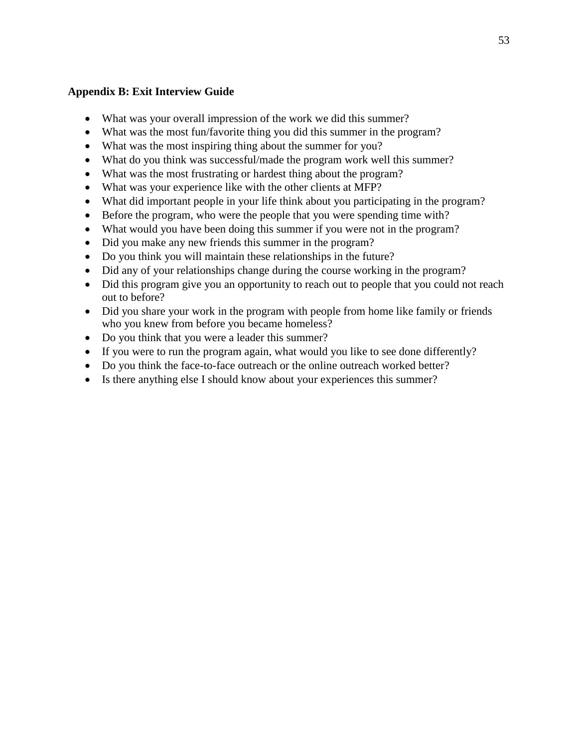# **Appendix B: Exit Interview Guide**

- What was your overall impression of the work we did this summer?
- What was the most fun/favorite thing you did this summer in the program?
- What was the most inspiring thing about the summer for you?
- What do you think was successful/made the program work well this summer?
- What was the most frustrating or hardest thing about the program?
- What was your experience like with the other clients at MFP?
- What did important people in your life think about you participating in the program?
- Before the program, who were the people that you were spending time with?
- What would you have been doing this summer if you were not in the program?
- Did you make any new friends this summer in the program?
- Do you think you will maintain these relationships in the future?
- Did any of your relationships change during the course working in the program?
- Did this program give you an opportunity to reach out to people that you could not reach out to before?
- Did you share your work in the program with people from home like family or friends who you knew from before you became homeless?
- Do you think that you were a leader this summer?
- If you were to run the program again, what would you like to see done differently?
- Do you think the face-to-face outreach or the online outreach worked better?
- Is there anything else I should know about your experiences this summer?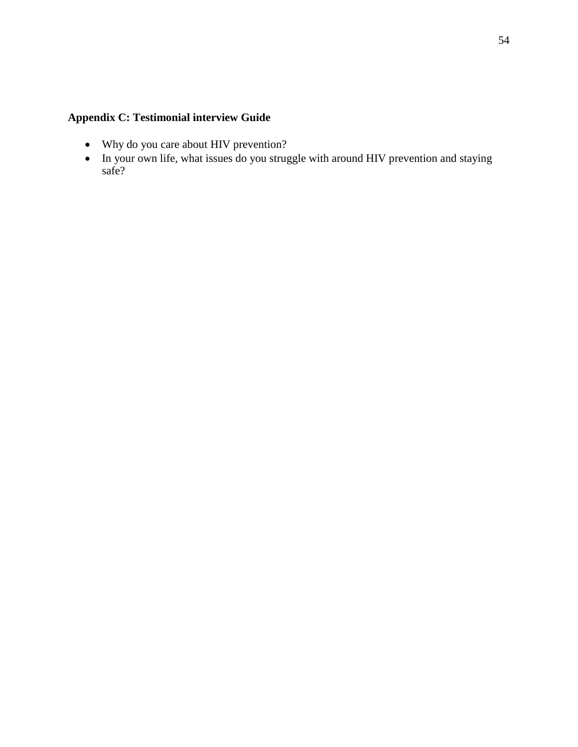# **Appendix C: Testimonial interview Guide**

- Why do you care about HIV prevention?
- In your own life, what issues do you struggle with around HIV prevention and staying safe?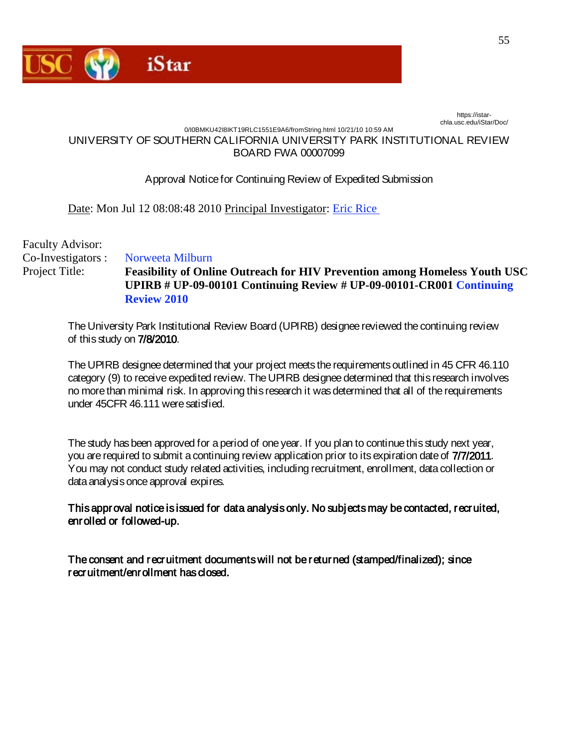

https://istarchla.usc.edu/iStar/Doc/

### 0/I0BMKU42I8IKT19RLC1551E9A6/fromString.html 10/21/10 10:59 AM UNIVERSITY OF SOUTHERN CALIFORNIA UNIVERSITY PARK INSTITUTIONAL REVIEW BOARD FWA 00007099

# Approval Notice for Continuing Review of Expedited Submission

Date: Mon Jul 12 08:08:48 2010 Principal Investigator: [Eric Rice](mailto:erice@mednet.ucla.edu) 

Faculty Advisor: Co-Investigators : [Norweeta Milburn](mailto:nmilburn@mednet.ucla.edu)  Project Title: **[Feasibility of Online Outreach for HIV Prevention among Homeless Youth USC](https://istar.usc.edu/iStar/Rooms/DisplayPages/LayoutInitial?Container=com.webridge.entity.Entity%5BOID%5B8C3ACA88DAAD2F42A9664F737D2F909A%5D%5D)  [UPIRB # UP-09-00101 Continuing Review # UP-09-00101-CR001 Continuing](https://istar.usc.edu/iStar/Rooms/DisplayPages/LayoutInitial?Container=com.webridge.entity.Entity%5BOID%5B8C3ACA88DAAD2F42A9664F737D2F909A%5D%5D)  [Review 2010](https://istar.usc.edu/iStar/Rooms/DisplayPages/LayoutInitial?Container=com.webridge.entity.Entity%5BOID%5B8C3ACA88DAAD2F42A9664F737D2F909A%5D%5D)** 

The University Park Institutional Review Board (UPIRB) designee reviewed the continuing review of this study on 7/8/2010.

The UPIRB designee determined that your project meets the requirements outlined in 45 CFR 46.110 category (9) to receive expedited review. The UPIRB designee determined that this research involves no more than minimal risk. In approving this research it was determined that all of the requirements under 45CFR 46.111 were satisfied.

The study has been approved for a period of one year. If you plan to continue this study next year, you are required to submit a continuing review application prior to its expiration date of 7/7/2011. You may not conduct study related activities, including recruitment, enrollment, data collection or data analysis once approval expires.

This approval notice is issued for data analysis only. No subjects may be contacted, recruited, enrolled or followed-up.

The consent and recruitment documents will not be returned (stamped/finalized); since recruitment/enrollment has closed.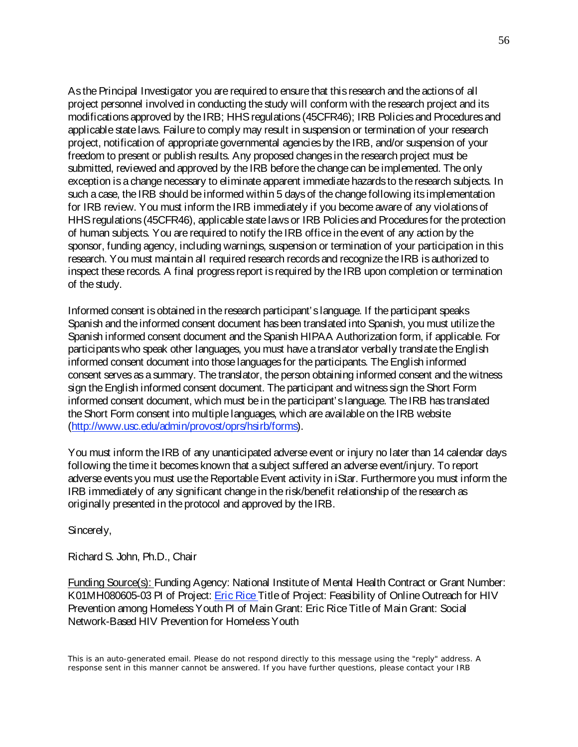As the Principal Investigator you are required to ensure that this research and the actions of all project personnel involved in conducting the study will conform with the research project and its modifications approved by the IRB; HHS regulations (45CFR46); IRB Policies and Procedures and applicable state laws. Failure to comply may result in suspension or termination of your research project, notification of appropriate governmental agencies by the IRB, and/or suspension of your freedom to present or publish results. Any proposed changes in the research project must be submitted, reviewed and approved by the IRB before the change can be implemented. The only exception is a change necessary to eliminate apparent immediate hazards to the research subjects. In such a case, the IRB should be informed within 5 days of the change following its implementation for IRB review. You must inform the IRB immediately if you become aware of any violations of HHS regulations (45CFR46), applicable state laws or IRB Policies and Procedures for the protection of human subjects. You are required to notify the IRB office in the event of any action by the sponsor, funding agency, including warnings, suspension or termination of your participation in this research. You must maintain all required research records and recognize the IRB is authorized to inspect these records. A final progress report is required by the IRB upon completion or termination of the study.

Informed consent is obtained in the research participant's language. If the participant speaks Spanish and the informed consent document has been translated into Spanish, you must utilize the Spanish informed consent document and the Spanish HIPAA Authorization form, if applicable. For participants who speak other languages, you must have a translator verbally translate the English informed consent document into those languages for the participants. The English informed consent serves as a summary. The translator, the person obtaining informed consent and the witness sign the English informed consent document. The participant and witness sign the Short Form informed consent document, which must be in the participant's language. The IRB has translated the Short Form consent into multiple languages, which are available on the IRB website [\(http://www.usc.edu/admin/provost/oprs/hsirb/forms\)](http://www.usc.edu/admin/provost/oprs/hsirb/forms).

You must inform the IRB of any unanticipated adverse event or injury no later than 14 calendar days following the time it becomes known that a subject suffered an adverse event/injury. To report adverse events you must use the Reportable Event activity in iStar. Furthermore you must inform the IRB immediately of any significant change in the risk/benefit relationship of the research as originally presented in the protocol and approved by the IRB.

Sincerely,

Richard S. John, Ph.D., Chair

Funding Source(s): Funding Agency: National Institute of Mental Health Contract or Grant Number: K01MH080605-03 PI of Project: **Eric Rice Title of Project: Feasibility of Online Outreach for HIV** Prevention among Homeless Youth PI of Main Grant: Eric Rice Title of Main Grant: Social Network-Based HIV Prevention for Homeless Youth

This is an auto-generated email. Please do not respond directly to this message using the "reply" address. A response sent in this manner cannot be answered. If you have further questions, please contact your IRB